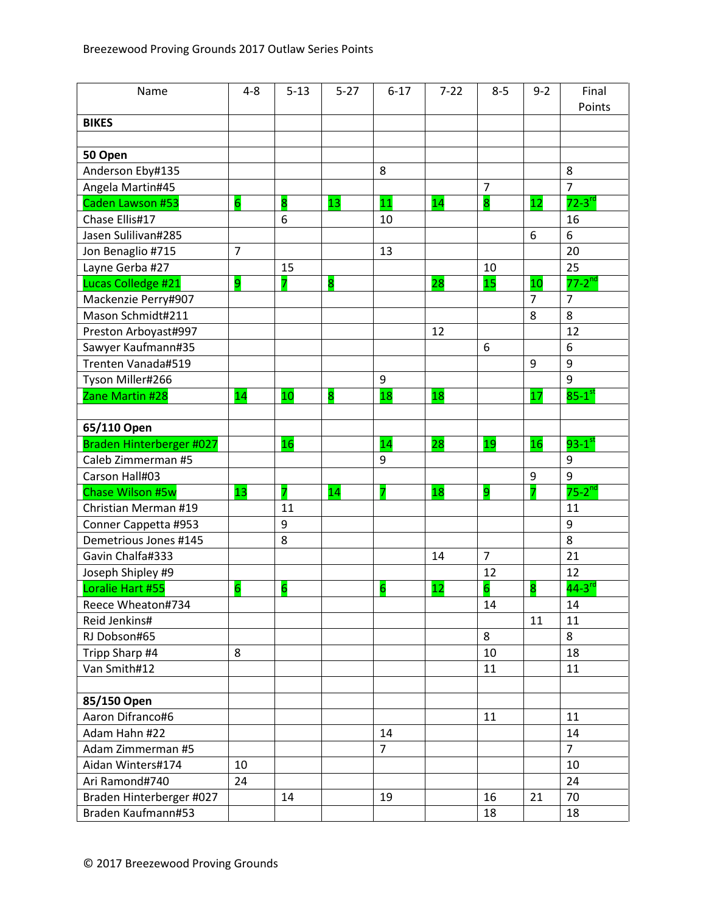| Name                     | $4 - 8$        | $5 - 13$        | $5 - 27$                | $6 - 17$        | $7 - 22$ | $8 - 5$                 | $9 - 2$ | Final                |
|--------------------------|----------------|-----------------|-------------------------|-----------------|----------|-------------------------|---------|----------------------|
|                          |                |                 |                         |                 |          |                         |         | Points               |
| <b>BIKES</b>             |                |                 |                         |                 |          |                         |         |                      |
|                          |                |                 |                         |                 |          |                         |         |                      |
| 50 Open                  |                |                 |                         |                 |          |                         |         |                      |
| Anderson Eby#135         |                |                 |                         | 8               |          |                         |         | 8                    |
| Angela Martin#45         |                |                 |                         |                 |          | $\overline{7}$          |         | $\overline{7}$       |
| Caden Lawson #53         | $\overline{6}$ | 8               | 13                      | 11              | 14       | $\overline{\mathbf{8}}$ | 12      | $72-3$ <sup>rd</sup> |
| Chase Ellis#17           |                | 6               |                         | 10              |          |                         |         | 16                   |
| Jasen Sulilivan#285      |                |                 |                         |                 |          |                         | 6       | 6                    |
| Jon Benaglio #715        | $\overline{7}$ |                 |                         | 13              |          |                         |         | 20                   |
| Layne Gerba #27          |                | 15              |                         |                 |          | 10                      |         | 25                   |
| Lucas Colledge #21       | 9              | 7               | $\overline{\mathbf{8}}$ |                 | 28       | 15                      | 10      | $77 - 2nd$           |
| Mackenzie Perry#907      |                |                 |                         |                 |          |                         | 7       | 7                    |
| Mason Schmidt#211        |                |                 |                         |                 |          |                         | 8       | 8                    |
| Preston Arboyast#997     |                |                 |                         |                 | 12       |                         |         | 12                   |
| Sawyer Kaufmann#35       |                |                 |                         |                 |          | 6                       |         | 6                    |
| Trenten Vanada#519       |                |                 |                         |                 |          |                         | 9       | 9                    |
| Tyson Miller#266         |                |                 |                         | 9               |          |                         |         | 9                    |
| Zane Martin #28          | 14             | 10              | 8                       | 18              | 18       |                         | 17      | $85-1$ st            |
|                          |                |                 |                         |                 |          |                         |         |                      |
| 65/110 Open              |                |                 |                         |                 |          |                         |         |                      |
| Braden Hinterberger #027 |                | 16              |                         | 14              | 28       | 19                      | 16      | $93-1$ <sup>st</sup> |
| Caleb Zimmerman #5       |                |                 |                         | 9               |          |                         |         | 9                    |
| Carson Hall#03           |                |                 |                         |                 |          |                         | 9       | 9                    |
| Chase Wilson #5w         | 13             | 7               | 14                      | 7               | 18       | 9                       | 7       | $75-2^{nd}$          |
| Christian Merman #19     |                | 11              |                         |                 |          |                         |         | 11                   |
| Conner Cappetta #953     |                | 9               |                         |                 |          |                         |         | 9                    |
| Demetrious Jones #145    |                | 8               |                         |                 |          |                         |         | 8                    |
| Gavin Chalfa#333         |                |                 |                         |                 | 14       | $\overline{7}$          |         | 21                   |
| Joseph Shipley #9        |                |                 |                         |                 |          | 12                      |         | 12                   |
| Loralie Hart #55         | 6              | $6\overline{6}$ |                         | $6\overline{6}$ | 12       | 6                       | 8       | $44-3$ <sup>rd</sup> |
| Reece Wheaton#734        |                |                 |                         |                 |          | 14                      |         | 14                   |
| Reid Jenkins#            |                |                 |                         |                 |          |                         | 11      | 11                   |
| RJ Dobson#65             |                |                 |                         |                 |          | 8                       |         | 8                    |
| Tripp Sharp #4           | 8              |                 |                         |                 |          | 10                      |         | 18                   |
| Van Smith#12             |                |                 |                         |                 |          | 11                      |         | 11                   |
|                          |                |                 |                         |                 |          |                         |         |                      |
| 85/150 Open              |                |                 |                         |                 |          |                         |         |                      |
| Aaron Difranco#6         |                |                 |                         |                 |          | 11                      |         | 11                   |
| Adam Hahn #22            |                |                 |                         | 14              |          |                         |         | 14                   |
| Adam Zimmerman #5        |                |                 |                         | $\overline{7}$  |          |                         |         | $\overline{7}$       |
| Aidan Winters#174        | 10             |                 |                         |                 |          |                         |         | 10                   |
| Ari Ramond#740           | 24             |                 |                         |                 |          |                         |         | 24                   |
| Braden Hinterberger #027 |                | 14              |                         | 19              |          | 16                      | 21      | 70                   |
| Braden Kaufmann#53       |                |                 |                         |                 |          | 18                      |         | 18                   |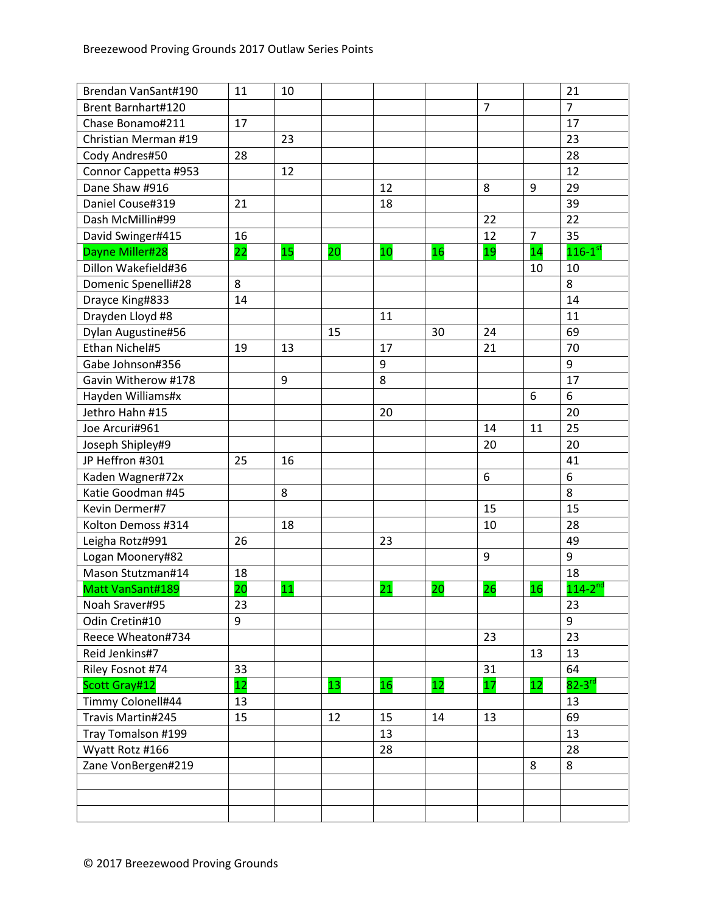| Brendan VanSant#190  | 11 | 10 |    |    |    |                |                | 21                      |
|----------------------|----|----|----|----|----|----------------|----------------|-------------------------|
| Brent Barnhart#120   |    |    |    |    |    | $\overline{7}$ |                | $\overline{7}$          |
| Chase Bonamo#211     | 17 |    |    |    |    |                |                | 17                      |
| Christian Merman #19 |    | 23 |    |    |    |                |                | 23                      |
| Cody Andres#50       | 28 |    |    |    |    |                |                | 28                      |
| Connor Cappetta #953 |    | 12 |    |    |    |                |                | 12                      |
| Dane Shaw #916       |    |    |    | 12 |    | 8              | 9              | 29                      |
| Daniel Couse#319     | 21 |    |    | 18 |    |                |                | 39                      |
| Dash McMillin#99     |    |    |    |    |    | 22             |                | 22                      |
| David Swinger#415    | 16 |    |    |    |    | 12             | $\overline{7}$ | 35                      |
| Dayne Miller#28      | 22 | 15 | 20 | 10 | 16 | 19             | 14             | $116 - 1$ <sup>st</sup> |
| Dillon Wakefield#36  |    |    |    |    |    |                | 10             | 10                      |
| Domenic Spenelli#28  | 8  |    |    |    |    |                |                | 8                       |
| Drayce King#833      | 14 |    |    |    |    |                |                | 14                      |
| Drayden Lloyd #8     |    |    |    | 11 |    |                |                | 11                      |
| Dylan Augustine#56   |    |    | 15 |    | 30 | 24             |                | 69                      |
| Ethan Nichel#5       | 19 | 13 |    | 17 |    | 21             |                | 70                      |
| Gabe Johnson#356     |    |    |    | 9  |    |                |                | 9                       |
| Gavin Witherow #178  |    | 9  |    | 8  |    |                |                | 17                      |
| Hayden Williams#x    |    |    |    |    |    |                | 6              | 6                       |
| Jethro Hahn #15      |    |    |    | 20 |    |                |                | 20                      |
| Joe Arcuri#961       |    |    |    |    |    | 14             | 11             | 25                      |
| Joseph Shipley#9     |    |    |    |    |    | 20             |                | 20                      |
| JP Heffron #301      | 25 | 16 |    |    |    |                |                | 41                      |
| Kaden Wagner#72x     |    |    |    |    |    | 6              |                | 6                       |
| Katie Goodman #45    |    | 8  |    |    |    |                |                | 8                       |
| Kevin Dermer#7       |    |    |    |    |    | 15             |                | 15                      |
| Kolton Demoss #314   |    | 18 |    |    |    | 10             |                | 28                      |
| Leigha Rotz#991      | 26 |    |    | 23 |    |                |                | 49                      |
| Logan Moonery#82     |    |    |    |    |    | 9              |                | 9                       |
| Mason Stutzman#14    | 18 |    |    |    |    |                |                | 18                      |
| Matt VanSant#189     | 20 | 11 |    | 21 | 20 | 26             | 16             | $114 - 2^{nd}$          |
| Noah Sraver#95       | 23 |    |    |    |    |                |                | 23                      |
| Odin Cretin#10       | 9  |    |    |    |    |                |                | 9                       |
| Reece Wheaton#734    |    |    |    |    |    | 23             |                | 23                      |
| Reid Jenkins#7       |    |    |    |    |    |                | 13             | 13                      |
| Riley Fosnot #74     | 33 |    |    |    |    | 31             |                | 64                      |
| Scott Gray#12        | 12 |    | 13 | 16 | 12 | 17             | 12             | $82-3$ <sup>rd</sup>    |
| Timmy Colonell#44    | 13 |    |    |    |    |                |                | 13                      |
| Travis Martin#245    | 15 |    | 12 | 15 | 14 | 13             |                | 69                      |
| Tray Tomalson #199   |    |    |    | 13 |    |                |                | 13                      |
| Wyatt Rotz #166      |    |    |    | 28 |    |                |                | 28                      |
| Zane VonBergen#219   |    |    |    |    |    |                | 8              | 8                       |
|                      |    |    |    |    |    |                |                |                         |
|                      |    |    |    |    |    |                |                |                         |
|                      |    |    |    |    |    |                |                |                         |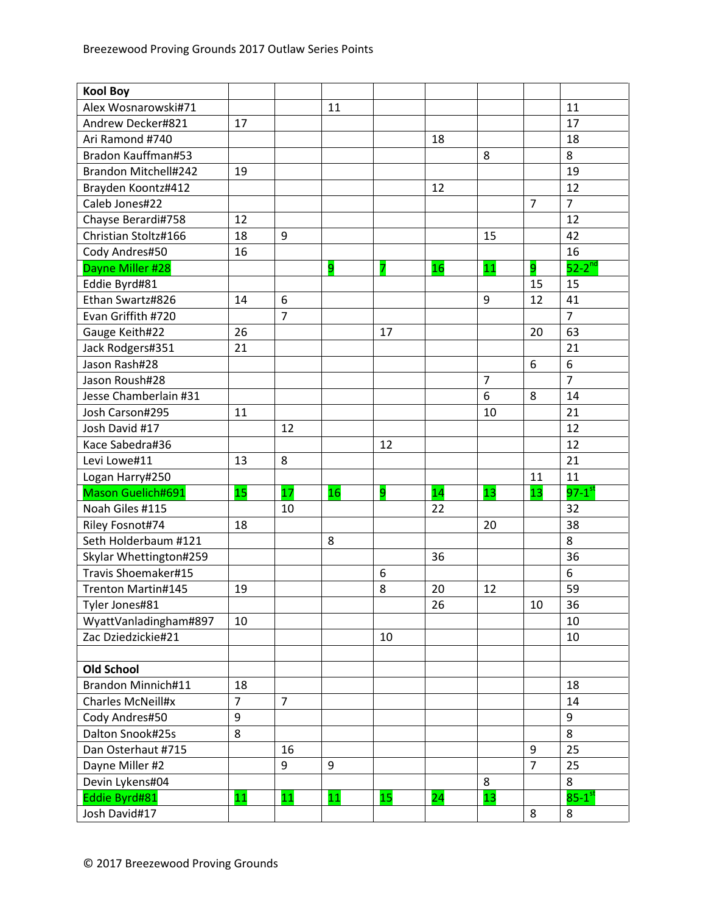| <b>Kool Boy</b>          |                |                |                |    |    |                |                |                      |
|--------------------------|----------------|----------------|----------------|----|----|----------------|----------------|----------------------|
| Alex Wosnarowski#71      |                |                | 11             |    |    |                |                | 11                   |
| Andrew Decker#821        | 17             |                |                |    |    |                |                | 17                   |
| Ari Ramond #740          |                |                |                |    | 18 |                |                | 18                   |
| Bradon Kauffman#53       |                |                |                |    |    | 8              |                | 8                    |
| Brandon Mitchell#242     | 19             |                |                |    |    |                |                | 19                   |
| Brayden Koontz#412       |                |                |                |    | 12 |                |                | 12                   |
| Caleb Jones#22           |                |                |                |    |    |                | $\overline{7}$ | $\overline{7}$       |
| Chayse Berardi#758       | 12             |                |                |    |    |                |                | 12                   |
| Christian Stoltz#166     | 18             | 9              |                |    |    | 15             |                | 42                   |
| Cody Andres#50           | 16             |                |                |    |    |                |                | 16                   |
| Dayne Miller #28         |                |                | $\overline{9}$ | 7  | 16 | 11             | 9              | $52-2^{nd}$          |
| Eddie Byrd#81            |                |                |                |    |    |                | 15             | 15                   |
| Ethan Swartz#826         | 14             | 6              |                |    |    | 9              | 12             | 41                   |
| Evan Griffith #720       |                | $\overline{7}$ |                |    |    |                |                | $\overline{7}$       |
| Gauge Keith#22           | 26             |                |                | 17 |    |                | 20             | 63                   |
| Jack Rodgers#351         | 21             |                |                |    |    |                |                | 21                   |
| Jason Rash#28            |                |                |                |    |    |                | 6              | 6                    |
| Jason Roush#28           |                |                |                |    |    | $\overline{7}$ |                | $\overline{7}$       |
| Jesse Chamberlain #31    |                |                |                |    |    | 6              | 8              | 14                   |
| Josh Carson#295          | 11             |                |                |    |    | 10             |                | 21                   |
| Josh David #17           |                | 12             |                |    |    |                |                | 12                   |
| Kace Sabedra#36          |                |                |                | 12 |    |                |                | 12                   |
| Levi Lowe#11             | 13             | 8              |                |    |    |                |                | 21                   |
| Logan Harry#250          |                |                |                |    |    |                | 11             | 11                   |
| Mason Guelich#691        | 15             | 17             | 16             | 9  | 14 | 13             | 13             | $97-1$ <sup>st</sup> |
| Noah Giles #115          |                | 10             |                |    | 22 |                |                | 32                   |
| Riley Fosnot#74          | 18             |                |                |    |    | 20             |                | 38                   |
| Seth Holderbaum #121     |                |                | 8              |    |    |                |                | 8                    |
| Skylar Whettington#259   |                |                |                |    | 36 |                |                | 36                   |
| Travis Shoemaker#15      |                |                |                | 6  |    |                |                | 6                    |
| Trenton Martin#145       | 19             |                |                | 8  | 20 | 12             |                | 59                   |
| Tyler Jones#81           |                |                |                |    | 26 |                | 10             | 36                   |
| WyattVanladingham#897    | 10             |                |                |    |    |                |                | 10                   |
| Zac Dziedzickie#21       |                |                |                | 10 |    |                |                | 10                   |
|                          |                |                |                |    |    |                |                |                      |
| <b>Old School</b>        |                |                |                |    |    |                |                |                      |
| Brandon Minnich#11       | 18             |                |                |    |    |                |                | 18                   |
| <b>Charles McNeill#x</b> | $\overline{7}$ | $\overline{7}$ |                |    |    |                |                | 14                   |
| Cody Andres#50           | 9              |                |                |    |    |                |                | 9                    |
| Dalton Snook#25s         | 8              |                |                |    |    |                |                | 8                    |
| Dan Osterhaut #715       |                | 16             |                |    |    |                | 9              | 25                   |
| Dayne Miller #2          |                | 9              | 9              |    |    |                | $\overline{7}$ | 25                   |
| Devin Lykens#04          |                |                |                |    |    | 8              |                | 8                    |
| Eddie Byrd#81            | 11             | 11             | 11             | 15 | 24 | 13             |                | $85-1$ <sup>st</sup> |
| Josh David#17            |                |                |                |    |    |                | 8              | 8                    |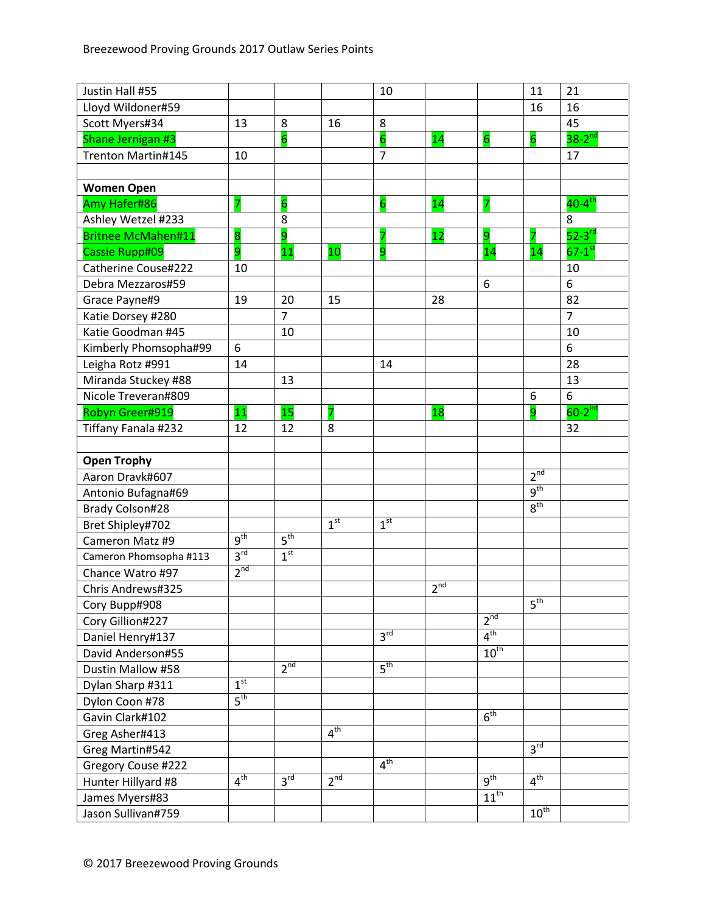| Justin Hall #55           |                 |                 |                 | 10              |                 |                  | 11                   | 21                     |
|---------------------------|-----------------|-----------------|-----------------|-----------------|-----------------|------------------|----------------------|------------------------|
| Lloyd Wildoner#59         |                 |                 |                 |                 |                 |                  | 16                   | 16                     |
| Scott Myers#34            | 13              | 8               | 16              | 8               |                 |                  |                      | 45                     |
| Shane Jernigan #3         |                 | $6\overline{6}$ |                 | $6\overline{6}$ | 14              | $\overline{6}$   | 6                    | $38-2^{nd}$            |
| Trenton Martin#145        | 10              |                 |                 | $\overline{7}$  |                 |                  |                      | 17                     |
|                           |                 |                 |                 |                 |                 |                  |                      |                        |
| <b>Women Open</b>         |                 |                 |                 |                 |                 |                  |                      |                        |
| Amy Hafer#86              | 7               | $6\overline{6}$ |                 | $\overline{6}$  | 14              | 7                |                      | $40-4$ <sup>th</sup>   |
| Ashley Wetzel #233        |                 | 8               |                 |                 |                 |                  |                      | 8                      |
| <b>Britnee McMahen#11</b> | 8               | 9               |                 | 7               | 12              | 9                |                      | $52-3$ <sup>rd</sup>   |
| Cassie Rupp#09            | 9               | 11              | 10              | 9               |                 | 14               | 14                   | $67 - 1$ <sup>st</sup> |
| Catherine Couse#222       | 10              |                 |                 |                 |                 |                  |                      | 10                     |
| Debra Mezzaros#59         |                 |                 |                 |                 |                 | 6                |                      | 6                      |
| Grace Payne#9             | 19              | 20              | 15              |                 | 28              |                  |                      | 82                     |
| Katie Dorsey #280         |                 | $\overline{7}$  |                 |                 |                 |                  |                      | $\overline{7}$         |
| Katie Goodman #45         |                 | 10              |                 |                 |                 |                  |                      | 10                     |
| Kimberly Phomsopha#99     | 6               |                 |                 |                 |                 |                  |                      | 6                      |
| Leigha Rotz #991          | 14              |                 |                 | 14              |                 |                  |                      | 28                     |
| Miranda Stuckey #88       |                 | 13              |                 |                 |                 |                  |                      | 13                     |
| Nicole Treveran#809       |                 |                 |                 |                 |                 |                  | 6                    | 6                      |
| Robyn Greer#919           | 11              | 15              | 7               |                 | 18              |                  | 9                    | $60-2$ <sup>nd</sup>   |
| Tiffany Fanala #232       | 12              | 12              | 8               |                 |                 |                  |                      | 32                     |
|                           |                 |                 |                 |                 |                 |                  |                      |                        |
| <b>Open Trophy</b>        |                 |                 |                 |                 |                 |                  |                      |                        |
| Aaron Dravk#607           |                 |                 |                 |                 |                 |                  | 2 <sup>nd</sup>      |                        |
| Antonio Bufagna#69        |                 |                 |                 |                 |                 |                  | $q^{th}$             |                        |
| <b>Brady Colson#28</b>    |                 |                 |                 |                 |                 |                  | 8 <sup>th</sup>      |                        |
| Bret Shipley#702          |                 |                 | 1 <sup>st</sup> | 1 <sup>st</sup> |                 |                  |                      |                        |
| Cameron Matz #9           | g <sup>th</sup> | $5^{\text{th}}$ |                 |                 |                 |                  |                      |                        |
| Cameron Phomsopha #113    | $3^{\text{rd}}$ | 1 <sup>st</sup> |                 |                 |                 |                  |                      |                        |
| Chance Watro #97          | 2 <sup>nd</sup> |                 |                 |                 |                 |                  |                      |                        |
| Chris Andrews#325         |                 |                 |                 |                 | 2 <sup>nd</sup> |                  |                      |                        |
| Cory Bupp#908             |                 |                 |                 |                 |                 |                  | 5 <sup>th</sup>      |                        |
| Cory Gillion#227          |                 |                 |                 |                 |                 | 2 <sup>nd</sup>  |                      |                        |
| Daniel Henry#137          |                 |                 |                 | 3 <sup>rd</sup> |                 | $4^{\text{th}}$  |                      |                        |
| David Anderson#55         |                 |                 |                 |                 |                 | $10^{\text{th}}$ |                      |                        |
| Dustin Mallow #58         |                 | $2^{nd}$        |                 | $5^{\text{th}}$ |                 |                  |                      |                        |
| Dylan Sharp #311          | 1 <sup>st</sup> |                 |                 |                 |                 |                  |                      |                        |
| Dylon Coon #78            | $5^{\text{th}}$ |                 |                 |                 |                 |                  |                      |                        |
| Gavin Clark#102           |                 |                 |                 |                 |                 | 6 <sup>th</sup>  |                      |                        |
| Greg Asher#413            |                 |                 | 4 <sup>th</sup> |                 |                 |                  |                      |                        |
| Greg Martin#542           |                 |                 |                 |                 |                 |                  | 3 <sup>rd</sup>      |                        |
| Gregory Couse #222        |                 |                 |                 | 4 <sup>th</sup> |                 |                  |                      |                        |
| Hunter Hillyard #8        | 4 <sup>th</sup> | 3 <sup>rd</sup> | 2 <sup>nd</sup> |                 |                 | 9 <sup>th</sup>  | 4 <sup>th</sup>      |                        |
| James Myers#83            |                 |                 |                 |                 |                 | $11^{th}$        |                      |                        |
| Jason Sullivan#759        |                 |                 |                 |                 |                 |                  | $10^{\overline{th}}$ |                        |
|                           |                 |                 |                 |                 |                 |                  |                      |                        |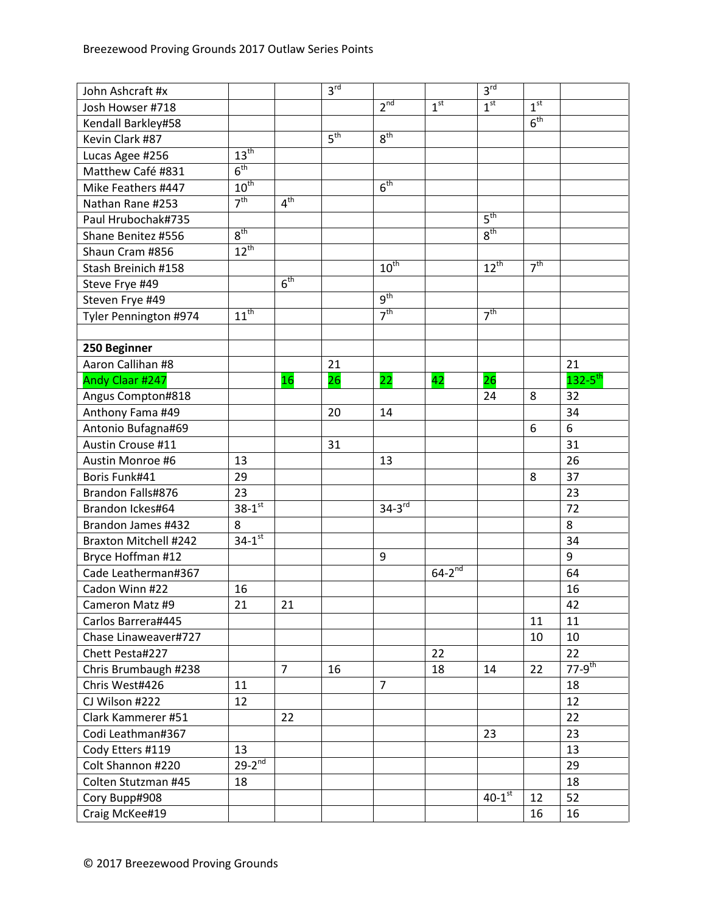| John Ashcraft #x      |                      |                 | 3 <sup>rd</sup> |                  |                 | 3 <sup>rd</sup>        |                 |                         |
|-----------------------|----------------------|-----------------|-----------------|------------------|-----------------|------------------------|-----------------|-------------------------|
| Josh Howser #718      |                      |                 |                 | 2 <sup>nd</sup>  | 1 <sup>st</sup> | 1 <sup>st</sup>        | 1 <sup>st</sup> |                         |
| Kendall Barkley#58    |                      |                 |                 |                  |                 |                        | 6 <sup>th</sup> |                         |
| Kevin Clark #87       |                      |                 | 5 <sup>th</sup> | 8 <sup>th</sup>  |                 |                        |                 |                         |
| Lucas Agee #256       | 13 <sup>th</sup>     |                 |                 |                  |                 |                        |                 |                         |
| Matthew Café #831     | 6 <sup>th</sup>      |                 |                 |                  |                 |                        |                 |                         |
| Mike Feathers #447    | $10^{\text{th}}$     |                 |                 | 6 <sup>th</sup>  |                 |                        |                 |                         |
| Nathan Rane #253      | 7 <sup>th</sup>      | 4 <sup>th</sup> |                 |                  |                 |                        |                 |                         |
| Paul Hrubochak#735    |                      |                 |                 |                  |                 | 5 <sup>th</sup>        |                 |                         |
| Shane Benitez #556    | $8^{\text{th}}$      |                 |                 |                  |                 | 8 <sup>th</sup>        |                 |                         |
| Shaun Cram #856       | $12^{th}$            |                 |                 |                  |                 |                        |                 |                         |
| Stash Breinich #158   |                      |                 |                 | $10^{\text{th}}$ |                 | $12^{th}$              | 7 <sup>th</sup> |                         |
| Steve Frye #49        |                      | 6 <sup>th</sup> |                 |                  |                 |                        |                 |                         |
| Steven Frye #49       |                      |                 |                 | 9 <sup>th</sup>  |                 |                        |                 |                         |
| Tyler Pennington #974 | $11^{\text{th}}$     |                 |                 | 7 <sup>th</sup>  |                 | 7 <sup>th</sup>        |                 |                         |
|                       |                      |                 |                 |                  |                 |                        |                 |                         |
| 250 Beginner          |                      |                 |                 |                  |                 |                        |                 |                         |
| Aaron Callihan #8     |                      |                 | 21              |                  |                 |                        |                 | 21                      |
| Andy Claar #247       |                      | 16              | 26              | 22               | 42              | 26                     |                 | $132 - 5$ <sup>th</sup> |
| Angus Compton#818     |                      |                 |                 |                  |                 | 24                     | 8               | 32                      |
| Anthony Fama #49      |                      |                 | 20              | 14               |                 |                        |                 | 34                      |
| Antonio Bufagna#69    |                      |                 |                 |                  |                 |                        | 6               | $\boldsymbol{6}$        |
| Austin Crouse #11     |                      |                 | 31              |                  |                 |                        |                 | 31                      |
| Austin Monroe #6      | 13                   |                 |                 | 13               |                 |                        |                 | 26                      |
| Boris Funk#41         | 29                   |                 |                 |                  |                 |                        | 8               | 37                      |
| Brandon Falls#876     | 23                   |                 |                 |                  |                 |                        |                 | 23                      |
| Brandon Ickes#64      | $38 - 1^{st}$        |                 |                 | $34 - 3^{rd}$    |                 |                        |                 | 72                      |
| Brandon James #432    | 8                    |                 |                 |                  |                 |                        |                 | 8                       |
| Braxton Mitchell #242 | $34-1$ <sup>st</sup> |                 |                 |                  |                 |                        |                 | 34                      |
| Bryce Hoffman #12     |                      |                 |                 | 9                |                 |                        |                 | $\boldsymbol{9}$        |
| Cade Leatherman#367   |                      |                 |                 |                  | $64-2^{nd}$     |                        |                 | 64                      |
| Cadon Winn #22        | 16                   |                 |                 |                  |                 |                        |                 | 16                      |
| Cameron Matz #9       | 21                   | 21              |                 |                  |                 |                        |                 | 42                      |
| Carlos Barrera#445    |                      |                 |                 |                  |                 |                        | 11              | 11                      |
| Chase Linaweaver#727  |                      |                 |                 |                  |                 |                        | 10              | 10                      |
| Chett Pesta#227       |                      |                 |                 |                  | 22              |                        |                 | 22                      |
| Chris Brumbaugh #238  |                      | $\overline{7}$  | 16              |                  | 18              | 14                     | 22              | $77 - 9$ <sup>th</sup>  |
| Chris West#426        | 11                   |                 |                 | 7                |                 |                        |                 | 18                      |
| CJ Wilson #222        | 12                   |                 |                 |                  |                 |                        |                 | 12                      |
| Clark Kammerer #51    |                      | 22              |                 |                  |                 |                        |                 | 22                      |
| Codi Leathman#367     |                      |                 |                 |                  |                 | 23                     |                 | 23                      |
| Cody Etters #119      | 13                   |                 |                 |                  |                 |                        |                 | 13                      |
| Colt Shannon #220     | $29-2^{nd}$          |                 |                 |                  |                 |                        |                 | 29                      |
| Colten Stutzman #45   | 18                   |                 |                 |                  |                 |                        |                 | 18                      |
| Cory Bupp#908         |                      |                 |                 |                  |                 | $40 - 1$ <sup>st</sup> | 12              | 52                      |
| Craig McKee#19        |                      |                 |                 |                  |                 |                        | 16              | 16                      |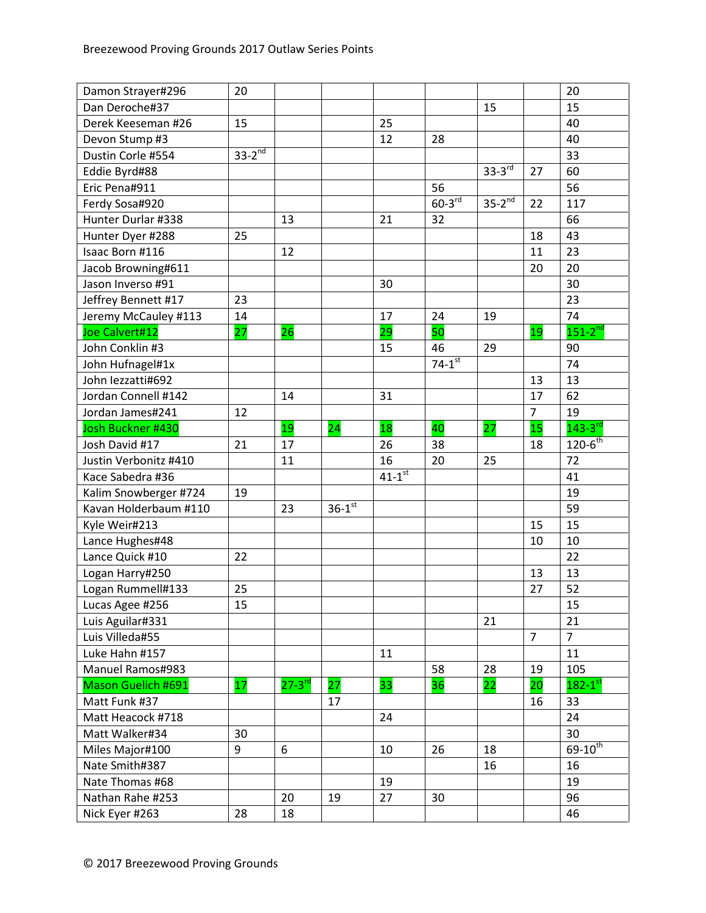| Damon Strayer#296     | 20          |                      |                      |                        |                      |               |                | 20                      |
|-----------------------|-------------|----------------------|----------------------|------------------------|----------------------|---------------|----------------|-------------------------|
| Dan Deroche#37        |             |                      |                      |                        |                      | 15            |                | 15                      |
| Derek Keeseman #26    | 15          |                      |                      | 25                     |                      |               |                | 40                      |
| Devon Stump #3        |             |                      |                      | 12                     | 28                   |               |                | 40                      |
| Dustin Corle #554     | $33-2^{nd}$ |                      |                      |                        |                      |               |                | 33                      |
| Eddie Byrd#88         |             |                      |                      |                        |                      | $33 - 3^{rd}$ | 27             | 60                      |
| Eric Pena#911         |             |                      |                      |                        | 56                   |               |                | 56                      |
| Ferdy Sosa#920        |             |                      |                      |                        | $60-3$ <sup>rd</sup> | $35 - 2^{nd}$ | 22             | 117                     |
| Hunter Durlar #338    |             | 13                   |                      | 21                     | 32                   |               |                | 66                      |
| Hunter Dyer #288      | 25          |                      |                      |                        |                      |               | 18             | 43                      |
| Isaac Born #116       |             | 12                   |                      |                        |                      |               | 11             | 23                      |
| Jacob Browning#611    |             |                      |                      |                        |                      |               | 20             | 20                      |
| Jason Inverso #91     |             |                      |                      | 30                     |                      |               |                | 30                      |
| Jeffrey Bennett #17   | 23          |                      |                      |                        |                      |               |                | 23                      |
| Jeremy McCauley #113  | 14          |                      |                      | 17                     | 24                   | 19            |                | 74                      |
| Joe Calvert#12        | 27          | 26                   |                      | 29                     | 50                   |               | 19             | $151 - 2^{nd}$          |
| John Conklin #3       |             |                      |                      | 15                     | 46                   | 29            |                | 90                      |
| John Hufnagel#1x      |             |                      |                      |                        | $74 - 1^{st}$        |               |                | 74                      |
| John lezzatti#692     |             |                      |                      |                        |                      |               | 13             | 13                      |
| Jordan Connell #142   |             | 14                   |                      | 31                     |                      |               | 17             | 62                      |
| Jordan James#241      | 12          |                      |                      |                        |                      |               | $\overline{7}$ | 19                      |
| Josh Buckner #430     |             | 19                   | 24                   | 18                     | 40                   | 27            | 15             | $143 - 3$ <sup>rd</sup> |
| Josh David #17        | 21          | 17                   |                      | 26                     | 38                   |               | 18             | $120 - 6^{th}$          |
| Justin Verbonitz #410 |             | 11                   |                      | 16                     | 20                   | 25            |                | 72                      |
| Kace Sabedra #36      |             |                      |                      | $41 - 1$ <sup>st</sup> |                      |               |                | 41                      |
| Kalim Snowberger #724 | 19          |                      |                      |                        |                      |               |                | 19                      |
| Kavan Holderbaum #110 |             | 23                   | $36-1$ <sup>st</sup> |                        |                      |               |                | 59                      |
| Kyle Weir#213         |             |                      |                      |                        |                      |               | 15             | 15                      |
| Lance Hughes#48       |             |                      |                      |                        |                      |               | 10             | 10                      |
| Lance Quick #10       | 22          |                      |                      |                        |                      |               |                | 22                      |
| Logan Harry#250       |             |                      |                      |                        |                      |               | 13             | 13                      |
| Logan Rummell#133     | 25          |                      |                      |                        |                      |               | 27             | 52                      |
| Lucas Agee #256       | 15          |                      |                      |                        |                      |               |                | 15                      |
| Luis Aguilar#331      |             |                      |                      |                        |                      | 21            |                | 21                      |
| Luis Villeda#55       |             |                      |                      |                        |                      |               | $\overline{7}$ | $\overline{7}$          |
| Luke Hahn #157        |             |                      |                      | 11                     |                      |               |                | 11                      |
| Manuel Ramos#983      |             |                      |                      |                        | 58                   | 28            | 19             | 105                     |
| Mason Guelich #691    | 17          | $27-3$ <sup>rd</sup> | 27                   | 33                     | 36                   | 22            | 20             | $182 - 1$ <sup>st</sup> |
| Matt Funk #37         |             |                      | 17                   |                        |                      |               | 16             | 33                      |
| Matt Heacock #718     |             |                      |                      | 24                     |                      |               |                | 24                      |
| Matt Walker#34        | 30          |                      |                      |                        |                      |               |                | 30                      |
| Miles Major#100       | 9           | 6                    |                      | 10                     | 26                   | 18            |                | $69 - 10^{th}$          |
| Nate Smith#387        |             |                      |                      |                        |                      | 16            |                | 16                      |
| Nate Thomas #68       |             |                      |                      | 19                     |                      |               |                | 19                      |
| Nathan Rahe #253      |             | 20                   | 19                   | 27                     | 30                   |               |                | 96                      |
| Nick Eyer #263        | 28          | 18                   |                      |                        |                      |               |                | 46                      |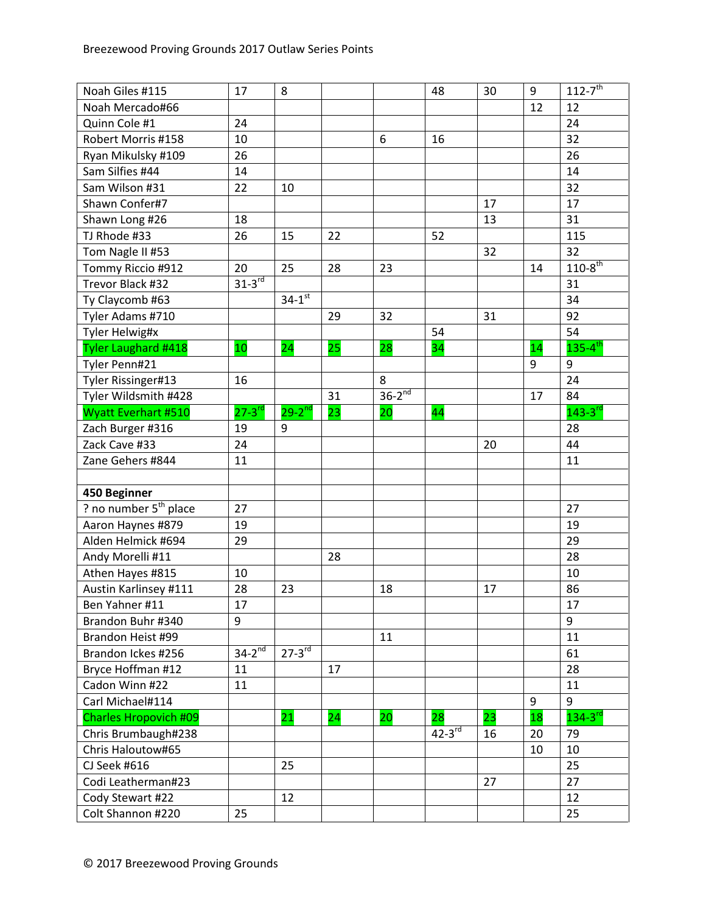| Noah Giles #115              | 17            | 8                    |    |             | 48            | 30 | 9  | $112 - 7$ <sup>th</sup> |
|------------------------------|---------------|----------------------|----|-------------|---------------|----|----|-------------------------|
| Noah Mercado#66              |               |                      |    |             |               |    | 12 | 12                      |
| Quinn Cole #1                | 24            |                      |    |             |               |    |    | 24                      |
| Robert Morris #158           | 10            |                      |    | 6           | 16            |    |    | 32                      |
| Ryan Mikulsky #109           | 26            |                      |    |             |               |    |    | 26                      |
| Sam Silfies #44              | 14            |                      |    |             |               |    |    | 14                      |
| Sam Wilson #31               | 22            | 10                   |    |             |               |    |    | 32                      |
| Shawn Confer#7               |               |                      |    |             |               | 17 |    | 17                      |
| Shawn Long #26               | 18            |                      |    |             |               | 13 |    | 31                      |
| TJ Rhode #33                 | 26            | 15                   | 22 |             | 52            |    |    | 115                     |
| Tom Nagle II #53             |               |                      |    |             |               | 32 |    | 32                      |
| Tommy Riccio #912            | 20            | 25                   | 28 | 23          |               |    | 14 | $110 - 8$ <sup>th</sup> |
| Trevor Black #32             | $31-3^{rd}$   |                      |    |             |               |    |    | 31                      |
| Ty Claycomb #63              |               | $34-1$ <sup>st</sup> |    |             |               |    |    | 34                      |
| Tyler Adams #710             |               |                      | 29 | 32          |               | 31 |    | 92                      |
| Tyler Helwig#x               |               |                      |    |             | 54            |    |    | 54                      |
| Tyler Laughard #418          | 10            | 24                   | 25 | 28          | 34            |    | 14 | $135 - 4$ <sup>th</sup> |
| Tyler Penn#21                |               |                      |    |             |               |    | 9  | $\overline{9}$          |
| Tyler Rissinger#13           | 16            |                      |    | 8           |               |    |    | 24                      |
| Tyler Wildsmith #428         |               |                      | 31 | $36-2^{nd}$ |               |    | 17 | 84                      |
| <b>Wyatt Everhart #510</b>   | $27 - 3^{rd}$ | $29 - 2^{nd}$        | 23 | 20          | 44            |    |    | $143 - 3$ <sup>rd</sup> |
| Zach Burger #316             | 19            | 9                    |    |             |               |    |    | 28                      |
| Zack Cave #33                | 24            |                      |    |             |               | 20 |    | 44                      |
| Zane Gehers #844             | 11            |                      |    |             |               |    |    | 11                      |
|                              |               |                      |    |             |               |    |    |                         |
| 450 Beginner                 |               |                      |    |             |               |    |    |                         |
| ? no number $5th$ place      | 27            |                      |    |             |               |    |    | 27                      |
| Aaron Haynes #879            | 19            |                      |    |             |               |    |    | 19                      |
| Alden Helmick #694           | 29            |                      |    |             |               |    |    | 29                      |
| Andy Morelli #11             |               |                      | 28 |             |               |    |    | 28                      |
| Athen Hayes #815             | 10            |                      |    |             |               |    |    | 10                      |
| Austin Karlinsey #111        | 28            | 23                   |    | 18          |               | 17 |    | 86                      |
| Ben Yahner #11               | 17            |                      |    |             |               |    |    | 17                      |
| Brandon Buhr #340            | 9             |                      |    |             |               |    |    | 9                       |
| Brandon Heist #99            |               |                      |    | 11          |               |    |    | 11                      |
| Brandon Ickes #256           | $34-2^{nd}$   | $27 - 3^{rd}$        |    |             |               |    |    | 61                      |
| Bryce Hoffman #12            | 11            |                      | 17 |             |               |    |    | 28                      |
| Cadon Winn #22               | 11            |                      |    |             |               |    |    | 11                      |
| Carl Michael#114             |               |                      |    |             |               |    | 9  | 9                       |
| <b>Charles Hropovich #09</b> |               | 21                   | 24 | 20          | 28            | 23 | 18 | $134-3$ <sup>rd</sup>   |
| Chris Brumbaugh#238          |               |                      |    |             | $42 - 3^{rd}$ | 16 | 20 | 79                      |
| Chris Haloutow#65            |               |                      |    |             |               |    | 10 | 10                      |
| CJ Seek #616                 |               | 25                   |    |             |               |    |    | 25                      |
| Codi Leatherman#23           |               |                      |    |             |               | 27 |    | 27                      |
| Cody Stewart #22             |               | 12                   |    |             |               |    |    | 12                      |
| Colt Shannon #220            | 25            |                      |    |             |               |    |    | 25                      |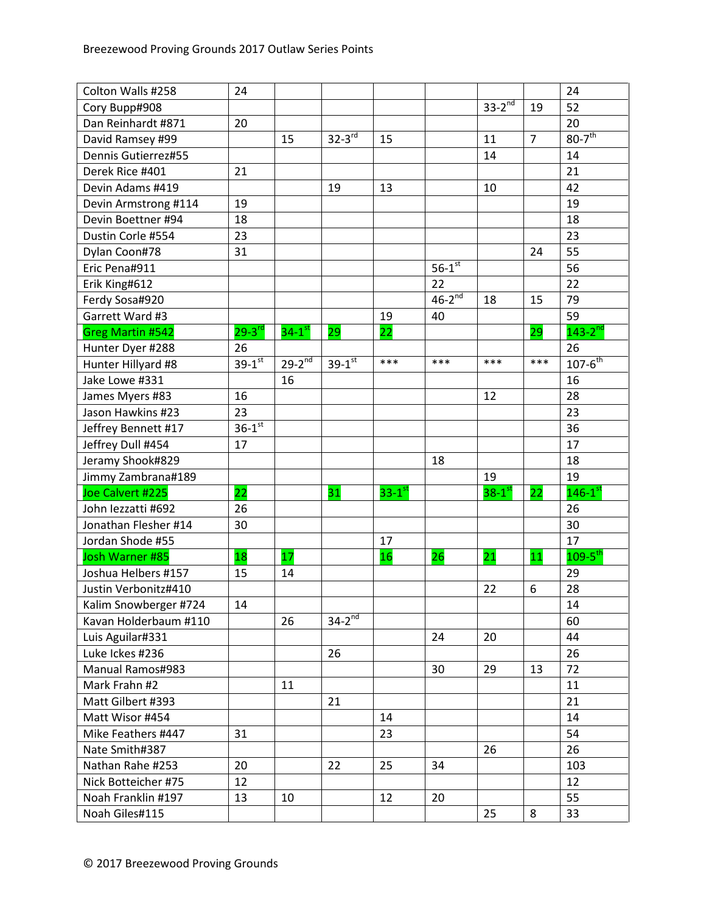| Colton Walls #258       | 24            |                      |                      |                      |                      |                      |                | 24                        |
|-------------------------|---------------|----------------------|----------------------|----------------------|----------------------|----------------------|----------------|---------------------------|
| Cory Bupp#908           |               |                      |                      |                      |                      | $33-2^{nd}$          | 19             | 52                        |
| Dan Reinhardt #871      | 20            |                      |                      |                      |                      |                      |                | 20                        |
| David Ramsey #99        |               | 15                   | $32-3$ <sup>rd</sup> | 15                   |                      | 11                   | $\overline{7}$ | $80-7$ <sup>th</sup>      |
| Dennis Gutierrez#55     |               |                      |                      |                      |                      | 14                   |                | 14                        |
| Derek Rice #401         | 21            |                      |                      |                      |                      |                      |                | 21                        |
| Devin Adams #419        |               |                      | 19                   | 13                   |                      | 10                   |                | 42                        |
| Devin Armstrong #114    | 19            |                      |                      |                      |                      |                      |                | 19                        |
| Devin Boettner #94      | 18            |                      |                      |                      |                      |                      |                | 18                        |
| Dustin Corle #554       | 23            |                      |                      |                      |                      |                      |                | 23                        |
| Dylan Coon#78           | 31            |                      |                      |                      |                      |                      | 24             | 55                        |
| Eric Pena#911           |               |                      |                      |                      | $56-1$ <sup>st</sup> |                      |                | 56                        |
| Erik King#612           |               |                      |                      |                      | 22                   |                      |                | 22                        |
| Ferdy Sosa#920          |               |                      |                      |                      | $46-2^{nd}$          | 18                   | 15             | 79                        |
| Garrett Ward #3         |               |                      |                      | 19                   | 40                   |                      |                | 59                        |
| <b>Greg Martin #542</b> | $29 - 3^{rd}$ | $34-1$ <sup>st</sup> | 29                   | 22                   |                      |                      | 29             | $143 - 2^{nd}$            |
| Hunter Dyer #288        | 26            |                      |                      |                      |                      |                      |                | 26                        |
| Hunter Hillyard #8      | $39 - 1^{st}$ | $29 - 2^{nd}$        | $39-1$ <sup>st</sup> | ***                  | $***$                | $***$                | ***            | $107 - 6^{th}$            |
| Jake Lowe #331          |               | 16                   |                      |                      |                      |                      |                | 16                        |
| James Myers #83         | 16            |                      |                      |                      |                      | 12                   |                | 28                        |
| Jason Hawkins #23       | 23            |                      |                      |                      |                      |                      |                | 23                        |
| Jeffrey Bennett #17     | $36-1$ st     |                      |                      |                      |                      |                      |                | 36                        |
| Jeffrey Dull #454       | 17            |                      |                      |                      |                      |                      |                | 17                        |
| Jeramy Shook#829        |               |                      |                      |                      | 18                   |                      |                | 18                        |
| Jimmy Zambrana#189      |               |                      |                      |                      |                      | 19                   |                | 19                        |
| Joe Calvert #225        | 22            |                      | 31                   | $33-1$ <sup>st</sup> |                      | $38-1$ <sup>st</sup> | 22             | $146-1$ <sup>st</sup>     |
| John lezzatti #692      | 26            |                      |                      |                      |                      |                      |                | 26                        |
| Jonathan Flesher #14    | 30            |                      |                      |                      |                      |                      |                | 30                        |
| Jordan Shode #55        |               |                      |                      | 17                   |                      |                      |                | 17                        |
| Josh Warner #85         | 18            | 17                   |                      | 16                   | 26                   | $\overline{21}$      | 11             | $109 - 5^{\overline{th}}$ |
| Joshua Helbers #157     | 15            | 14                   |                      |                      |                      |                      |                | 29                        |
| Justin Verbonitz#410    |               |                      |                      |                      |                      | 22                   | 6              | 28                        |
| Kalim Snowberger #724   | 14            |                      |                      |                      |                      |                      |                | 14                        |
| Kavan Holderbaum #110   |               | 26                   | $34-2^{nd}$          |                      |                      |                      |                | 60                        |
| Luis Aguilar#331        |               |                      |                      |                      | 24                   | 20                   |                | 44                        |
| Luke Ickes #236         |               |                      | 26                   |                      |                      |                      |                | 26                        |
| Manual Ramos#983        |               |                      |                      |                      | 30                   | 29                   | 13             | 72                        |
| Mark Frahn #2           |               | 11                   |                      |                      |                      |                      |                | 11                        |
| Matt Gilbert #393       |               |                      | 21                   |                      |                      |                      |                | 21                        |
| Matt Wisor #454         |               |                      |                      | 14                   |                      |                      |                | 14                        |
| Mike Feathers #447      | 31            |                      |                      | 23                   |                      |                      |                | 54                        |
| Nate Smith#387          |               |                      |                      |                      |                      | 26                   |                | 26                        |
| Nathan Rahe #253        | 20            |                      | 22                   | 25                   | 34                   |                      |                | 103                       |
| Nick Botteicher #75     | 12            |                      |                      |                      |                      |                      |                | 12                        |
| Noah Franklin #197      | 13            | 10                   |                      | 12                   | 20                   |                      |                | 55                        |
| Noah Giles#115          |               |                      |                      |                      |                      | 25                   | 8              | 33                        |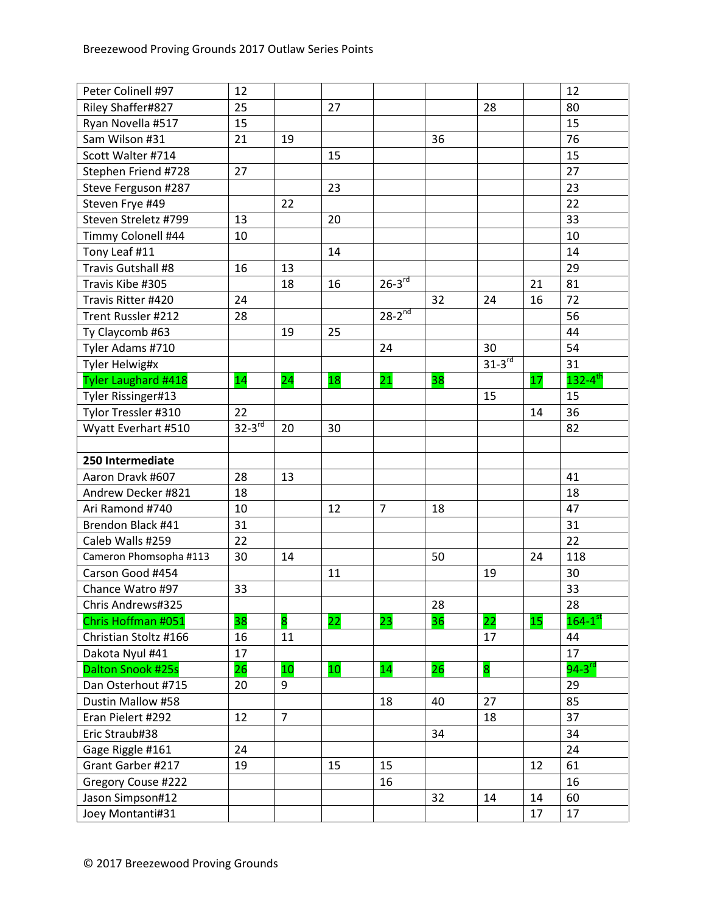| Peter Colinell #97     | 12          |                |    |                        |    |             |    | 12                      |
|------------------------|-------------|----------------|----|------------------------|----|-------------|----|-------------------------|
| Riley Shaffer#827      | 25          |                | 27 |                        |    | 28          |    | 80                      |
| Ryan Novella #517      | 15          |                |    |                        |    |             |    | 15                      |
| Sam Wilson #31         | 21          | 19             |    |                        | 36 |             |    | 76                      |
| Scott Walter #714      |             |                | 15 |                        |    |             |    | 15                      |
| Stephen Friend #728    | 27          |                |    |                        |    |             |    | 27                      |
| Steve Ferguson #287    |             |                | 23 |                        |    |             |    | 23                      |
| Steven Frye #49        |             | 22             |    |                        |    |             |    | 22                      |
| Steven Streletz #799   | 13          |                | 20 |                        |    |             |    | 33                      |
| Timmy Colonell #44     | 10          |                |    |                        |    |             |    | 10                      |
| Tony Leaf #11          |             |                | 14 |                        |    |             |    | 14                      |
| Travis Gutshall #8     | 16          | 13             |    |                        |    |             |    | 29                      |
| Travis Kibe #305       |             | 18             | 16 | $26-3^{\overline{rd}}$ |    |             | 21 | 81                      |
| Travis Ritter #420     | 24          |                |    |                        | 32 | 24          | 16 | 72                      |
| Trent Russler #212     | 28          |                |    | $28 - 2^{nd}$          |    |             |    | 56                      |
| Ty Claycomb #63        |             | 19             | 25 |                        |    |             |    | 44                      |
| Tyler Adams #710       |             |                |    | 24                     |    | 30          |    | 54                      |
| Tyler Helwig#x         |             |                |    |                        |    | $31-3^{rd}$ |    | 31                      |
| Tyler Laughard #418    | 14          | 24             | 18 | 21                     | 38 |             | 17 | $132 - 4$ <sup>th</sup> |
| Tyler Rissinger#13     |             |                |    |                        |    | 15          |    | 15                      |
| Tylor Tressler #310    | 22          |                |    |                        |    |             | 14 | 36                      |
| Wyatt Everhart #510    | $32-3^{rd}$ | 20             | 30 |                        |    |             |    | 82                      |
|                        |             |                |    |                        |    |             |    |                         |
| 250 Intermediate       |             |                |    |                        |    |             |    |                         |
| Aaron Dravk #607       | 28          | 13             |    |                        |    |             |    | 41                      |
| Andrew Decker #821     | 18          |                |    |                        |    |             |    | 18                      |
| Ari Ramond #740        | 10          |                | 12 | $\overline{7}$         | 18 |             |    | 47                      |
| Brendon Black #41      | 31          |                |    |                        |    |             |    | 31                      |
| Caleb Walls #259       | 22          |                |    |                        |    |             |    | 22                      |
| Cameron Phomsopha #113 | 30          | 14             |    |                        | 50 |             | 24 | 118                     |
| Carson Good #454       |             |                | 11 |                        |    | 19          |    | 30                      |
| Chance Watro #97       | 33          |                |    |                        |    |             |    | 33                      |
| Chris Andrews#325      |             |                |    |                        | 28 |             |    | 28                      |
| Chris Hoffman #051     | 38          | 8              | 22 | 23                     | 36 | 22          | 15 | $164 - 1^{st}$          |
| Christian Stoltz #166  | 16          | 11             |    |                        |    | 17          |    | 44                      |
| Dakota Nyul #41        | 17          |                |    |                        |    |             |    | 17                      |
| Dalton Snook #25s      | 26          | 10             | 10 | 14                     | 26 | 8           |    | 94-3 $\overline{^{rd}}$ |
| Dan Osterhout #715     | 20          | 9              |    |                        |    |             |    | 29                      |
| Dustin Mallow #58      |             |                |    | 18                     | 40 | 27          |    | 85                      |
| Eran Pielert #292      | 12          | $\overline{7}$ |    |                        |    | 18          |    | 37                      |
| Eric Straub#38         |             |                |    |                        | 34 |             |    | 34                      |
| Gage Riggle #161       | 24          |                |    |                        |    |             |    | 24                      |
| Grant Garber #217      | 19          |                | 15 | 15                     |    |             | 12 | 61                      |
| Gregory Couse #222     |             |                |    | 16                     |    |             |    | 16                      |
| Jason Simpson#12       |             |                |    |                        | 32 | 14          | 14 | 60                      |
| Joey Montanti#31       |             |                |    |                        |    |             | 17 | 17                      |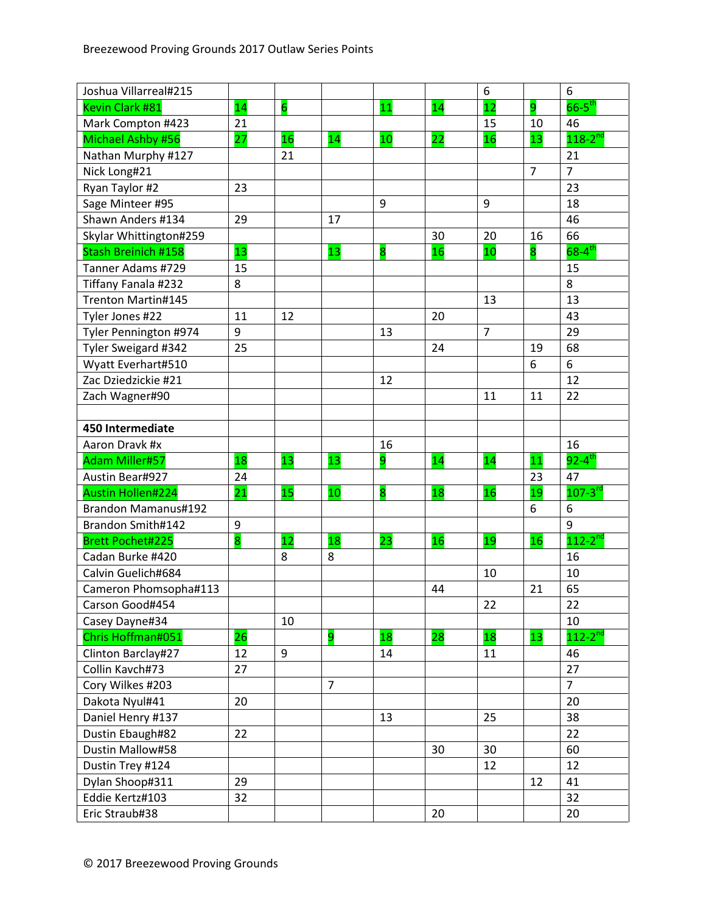| Joshua Villarreal#215    |                  |                 |                |    |    | 6              |                | 6                      |
|--------------------------|------------------|-----------------|----------------|----|----|----------------|----------------|------------------------|
| Kevin Clark #81          | 14               | $6\overline{6}$ |                | 11 | 14 | 12             | 9              | $66-5^{\text{th}}$     |
| Mark Compton #423        | 21               |                 |                |    |    | 15             | 10             | 46                     |
| Michael Ashby #56        | 27               | 16              | 14             | 10 | 22 | 16             | 13             | $118 - 2^{nd}$         |
| Nathan Murphy #127       |                  | 21              |                |    |    |                |                | 21                     |
| Nick Long#21             |                  |                 |                |    |    |                | $\overline{7}$ | $\overline{7}$         |
| Ryan Taylor #2           | 23               |                 |                |    |    |                |                | 23                     |
| Sage Minteer #95         |                  |                 |                | 9  |    | 9              |                | 18                     |
| Shawn Anders #134        | 29               |                 | 17             |    |    |                |                | 46                     |
| Skylar Whittington#259   |                  |                 |                |    | 30 | 20             | 16             | 66                     |
| Stash Breinich #158      | 13               |                 | 13             | 8  | 16 | 10             | 8              | $68 - 4$ <sup>th</sup> |
| Tanner Adams #729        | 15               |                 |                |    |    |                |                | 15                     |
| Tiffany Fanala #232      | 8                |                 |                |    |    |                |                | 8                      |
| Trenton Martin#145       |                  |                 |                |    |    | 13             |                | 13                     |
| Tyler Jones #22          | 11               | 12              |                |    | 20 |                |                | 43                     |
| Tyler Pennington #974    | 9                |                 |                | 13 |    | $\overline{7}$ |                | 29                     |
| Tyler Sweigard #342      | 25               |                 |                |    | 24 |                | 19             | 68                     |
| Wyatt Everhart#510       |                  |                 |                |    |    |                | 6              | 6                      |
| Zac Dziedzickie #21      |                  |                 |                | 12 |    |                |                | 12                     |
| Zach Wagner#90           |                  |                 |                |    |    | 11             | 11             | 22                     |
|                          |                  |                 |                |    |    |                |                |                        |
| 450 Intermediate         |                  |                 |                |    |    |                |                |                        |
| Aaron Dravk #x           |                  |                 |                | 16 |    |                |                | 16                     |
| <b>Adam Miller#57</b>    | 18               | 13              | 13             | 9  | 14 | 14             | 11             | $92 - 4$ <sup>th</sup> |
| Austin Bear#927          | 24               |                 |                |    |    |                | 23             | 47                     |
| <b>Austin Hollen#224</b> | 21               | 15              | 10             | 8  | 18 | 16             | 19             | $107 - 3^{rd}$         |
| Brandon Mamanus#192      |                  |                 |                |    |    |                | 6              | $\boldsymbol{6}$       |
| Brandon Smith#142        | $\boldsymbol{9}$ |                 |                |    |    |                |                | 9                      |
| <b>Brett Pochet#225</b>  | 8                | 12              | 18             | 23 | 16 | 19             | 16             | $112 - 2^{nd}$         |
| Cadan Burke #420         |                  | 8               | 8              |    |    |                |                | 16                     |
| Calvin Guelich#684       |                  |                 |                |    |    | 10             |                | 10                     |
| Cameron Phomsopha#113    |                  |                 |                |    | 44 |                | 21             | 65                     |
| Carson Good#454          |                  |                 |                |    |    | 22             |                | 22                     |
| Casey Dayne#34           |                  | 10              |                |    |    |                |                | 10                     |
| Chris Hoffman#051        | 26               |                 | 9              | 18 | 28 | 18             | 13             | $112 - 2^{nd}$         |
| Clinton Barclay#27       | 12               | 9               |                | 14 |    | 11             |                | 46                     |
| Collin Kavch#73          | 27               |                 |                |    |    |                |                | 27                     |
| Cory Wilkes #203         |                  |                 | $\overline{7}$ |    |    |                |                | $\overline{7}$         |
| Dakota Nyul#41           | 20               |                 |                |    |    |                |                | 20                     |
| Daniel Henry #137        |                  |                 |                | 13 |    | 25             |                | 38                     |
| Dustin Ebaugh#82         | 22               |                 |                |    |    |                |                | 22                     |
| Dustin Mallow#58         |                  |                 |                |    | 30 | 30             |                | 60                     |
| Dustin Trey #124         |                  |                 |                |    |    | 12             |                | 12                     |
| Dylan Shoop#311          | 29               |                 |                |    |    |                | 12             | 41                     |
| Eddie Kertz#103          | 32               |                 |                |    |    |                |                | 32                     |
| Eric Straub#38           |                  |                 |                |    | 20 |                |                | 20                     |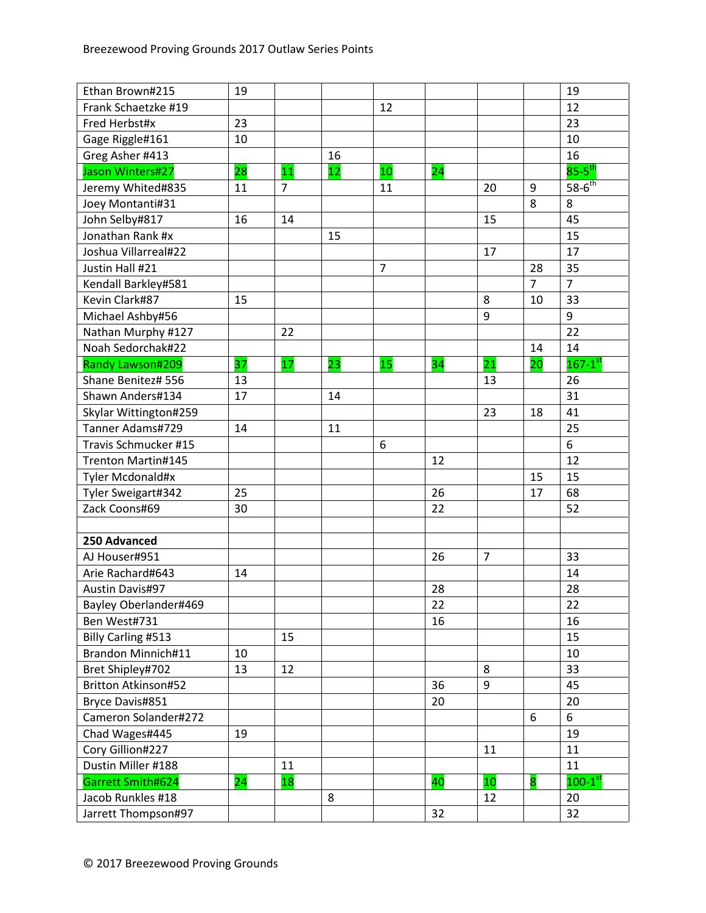| Ethan Brown#215            | 19 |    |    |                |    |                 |    | 19                      |
|----------------------------|----|----|----|----------------|----|-----------------|----|-------------------------|
| Frank Schaetzke #19        |    |    |    | 12             |    |                 |    | 12                      |
| Fred Herbst#x              | 23 |    |    |                |    |                 |    | 23                      |
| Gage Riggle#161            | 10 |    |    |                |    |                 |    | 10                      |
| Greg Asher #413            |    |    | 16 |                |    |                 |    | 16                      |
| Jason Winters#27           | 28 | 11 | 12 | 10             | 24 |                 |    | $85 - 5$ <sup>th</sup>  |
| Jeremy Whited#835          | 11 | 7  |    | 11             |    | 20              | 9  | $58-6^{th}$             |
| Joey Montanti#31           |    |    |    |                |    |                 | 8  | 8                       |
| John Selby#817             | 16 | 14 |    |                |    | 15              |    | 45                      |
| Jonathan Rank #x           |    |    | 15 |                |    |                 |    | 15                      |
| Joshua Villarreal#22       |    |    |    |                |    | 17              |    | 17                      |
| Justin Hall #21            |    |    |    | $\overline{7}$ |    |                 | 28 | 35                      |
| Kendall Barkley#581        |    |    |    |                |    |                 | 7  | $\overline{7}$          |
| Kevin Clark#87             | 15 |    |    |                |    | 8               | 10 | 33                      |
| Michael Ashby#56           |    |    |    |                |    | 9               |    | 9                       |
| Nathan Murphy #127         |    | 22 |    |                |    |                 |    | 22                      |
| Noah Sedorchak#22          |    |    |    |                |    |                 | 14 | 14                      |
| Randy Lawson#209           | 37 | 17 | 23 | 15             | 34 | $\overline{21}$ | 20 | $167 - 1$ <sup>st</sup> |
| Shane Benitez# 556         | 13 |    |    |                |    | 13              |    | 26                      |
| Shawn Anders#134           | 17 |    | 14 |                |    |                 |    | 31                      |
| Skylar Wittington#259      |    |    |    |                |    | 23              | 18 | 41                      |
| Tanner Adams#729           | 14 |    | 11 |                |    |                 |    | 25                      |
| Travis Schmucker #15       |    |    |    | 6              |    |                 |    | 6                       |
| Trenton Martin#145         |    |    |    |                | 12 |                 |    | 12                      |
| Tyler Mcdonald#x           |    |    |    |                |    |                 | 15 | 15                      |
| Tyler Sweigart#342         | 25 |    |    |                | 26 |                 | 17 | 68                      |
| Zack Coons#69              | 30 |    |    |                | 22 |                 |    | 52                      |
|                            |    |    |    |                |    |                 |    |                         |
| 250 Advanced               |    |    |    |                |    |                 |    |                         |
| AJ Houser#951              |    |    |    |                | 26 | $\overline{7}$  |    | 33                      |
| Arie Rachard#643           | 14 |    |    |                |    |                 |    | 14                      |
| <b>Austin Davis#97</b>     |    |    |    |                | 28 |                 |    | 28                      |
| Bayley Oberlander#469      |    |    |    |                | 22 |                 |    | 22                      |
| Ben West#731               |    |    |    |                | 16 |                 |    | 16                      |
| Billy Carling #513         |    | 15 |    |                |    |                 |    | 15                      |
| Brandon Minnich#11         | 10 |    |    |                |    |                 |    | 10                      |
| Bret Shipley#702           | 13 | 12 |    |                |    | 8               |    | 33                      |
| <b>Britton Atkinson#52</b> |    |    |    |                | 36 | 9               |    | 45                      |
| Bryce Davis#851            |    |    |    |                | 20 |                 |    | 20                      |
| Cameron Solander#272       |    |    |    |                |    |                 | 6  | 6                       |
| Chad Wages#445             | 19 |    |    |                |    |                 |    | 19                      |
| Cory Gillion#227           |    |    |    |                |    | 11              |    | 11                      |
| Dustin Miller #188         |    | 11 |    |                |    |                 |    | 11                      |
| Garrett Smith#624          | 24 | 18 |    |                | 40 | 10              | 8  | $100-1$ st              |
| Jacob Runkles #18          |    |    | 8  |                |    | 12              |    | 20                      |
| Jarrett Thompson#97        |    |    |    |                | 32 |                 |    | 32                      |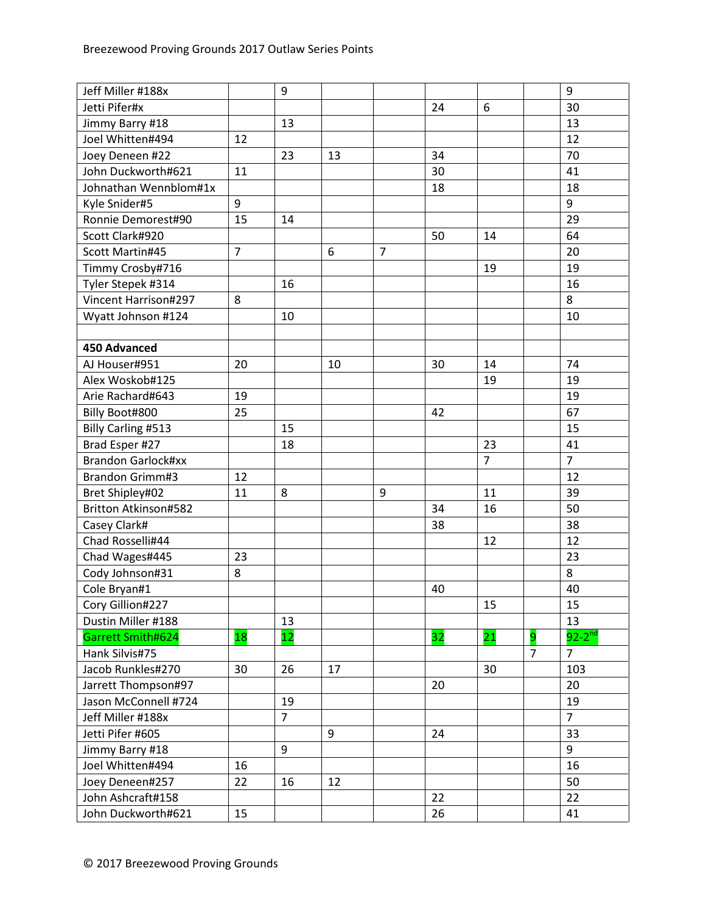| Jeff Miller #188x         |                | 9              |    |                |    |                |                | 9              |
|---------------------------|----------------|----------------|----|----------------|----|----------------|----------------|----------------|
| Jetti Pifer#x             |                |                |    |                | 24 | 6              |                | 30             |
| Jimmy Barry #18           |                | 13             |    |                |    |                |                | 13             |
| Joel Whitten#494          | 12             |                |    |                |    |                |                | 12             |
| Joey Deneen #22           |                | 23             | 13 |                | 34 |                |                | 70             |
| John Duckworth#621        | 11             |                |    |                | 30 |                |                | 41             |
| Johnathan Wennblom#1x     |                |                |    |                | 18 |                |                | 18             |
| Kyle Snider#5             | 9              |                |    |                |    |                |                | 9              |
| Ronnie Demorest#90        | 15             | 14             |    |                |    |                |                | 29             |
| Scott Clark#920           |                |                |    |                | 50 | 14             |                | 64             |
| Scott Martin#45           | $\overline{7}$ |                | 6  | $\overline{7}$ |    |                |                | 20             |
| Timmy Crosby#716          |                |                |    |                |    | 19             |                | 19             |
| Tyler Stepek #314         |                | 16             |    |                |    |                |                | 16             |
| Vincent Harrison#297      | 8              |                |    |                |    |                |                | 8              |
| Wyatt Johnson #124        |                | 10             |    |                |    |                |                | 10             |
|                           |                |                |    |                |    |                |                |                |
| <b>450 Advanced</b>       |                |                |    |                |    |                |                |                |
| AJ Houser#951             | 20             |                | 10 |                | 30 | 14             |                | 74             |
| Alex Woskob#125           |                |                |    |                |    | 19             |                | 19             |
| Arie Rachard#643          | 19             |                |    |                |    |                |                | 19             |
| Billy Boot#800            | 25             |                |    |                | 42 |                |                | 67             |
| Billy Carling #513        |                | 15             |    |                |    |                |                | 15             |
| Brad Esper #27            |                | 18             |    |                |    | 23             |                | 41             |
| <b>Brandon Garlock#xx</b> |                |                |    |                |    | $\overline{7}$ |                | $\overline{7}$ |
| Brandon Grimm#3           | 12             |                |    |                |    |                |                | 12             |
| Bret Shipley#02           | 11             | 8              |    | 9              |    | 11             |                | 39             |
| Britton Atkinson#582      |                |                |    |                | 34 | 16             |                | 50             |
| Casey Clark#              |                |                |    |                | 38 |                |                | 38             |
| Chad Rosselli#44          |                |                |    |                |    | 12             |                | 12             |
| Chad Wages#445            | 23             |                |    |                |    |                |                | 23             |
| Cody Johnson#31           | 8              |                |    |                |    |                |                | 8              |
| Cole Bryan#1              |                |                |    |                | 40 |                |                | 40             |
| Cory Gillion#227          |                |                |    |                |    | 15             |                | 15             |
| Dustin Miller #188        |                | 13             |    |                |    |                |                | 13             |
| Garrett Smith#624         | 18             | 12             |    |                | 32 | 21             | 9              | $92 - 2^{nd}$  |
| Hank Silvis#75            |                |                |    |                |    |                | $\overline{7}$ | $\overline{7}$ |
| Jacob Runkles#270         | 30             | 26             | 17 |                |    | 30             |                | 103            |
| Jarrett Thompson#97       |                |                |    |                | 20 |                |                | 20             |
| Jason McConnell #724      |                | 19             |    |                |    |                |                | 19             |
| Jeff Miller #188x         |                | $\overline{7}$ |    |                |    |                |                | $\overline{7}$ |
| Jetti Pifer #605          |                |                | 9  |                | 24 |                |                | 33             |
| Jimmy Barry #18           |                | 9              |    |                |    |                |                | 9              |
| Joel Whitten#494          | 16             |                |    |                |    |                |                | 16             |
| Joey Deneen#257           | 22             | 16             | 12 |                |    |                |                | 50             |
| John Ashcraft#158         |                |                |    |                | 22 |                |                | 22             |
| John Duckworth#621        | 15             |                |    |                | 26 |                |                | 41             |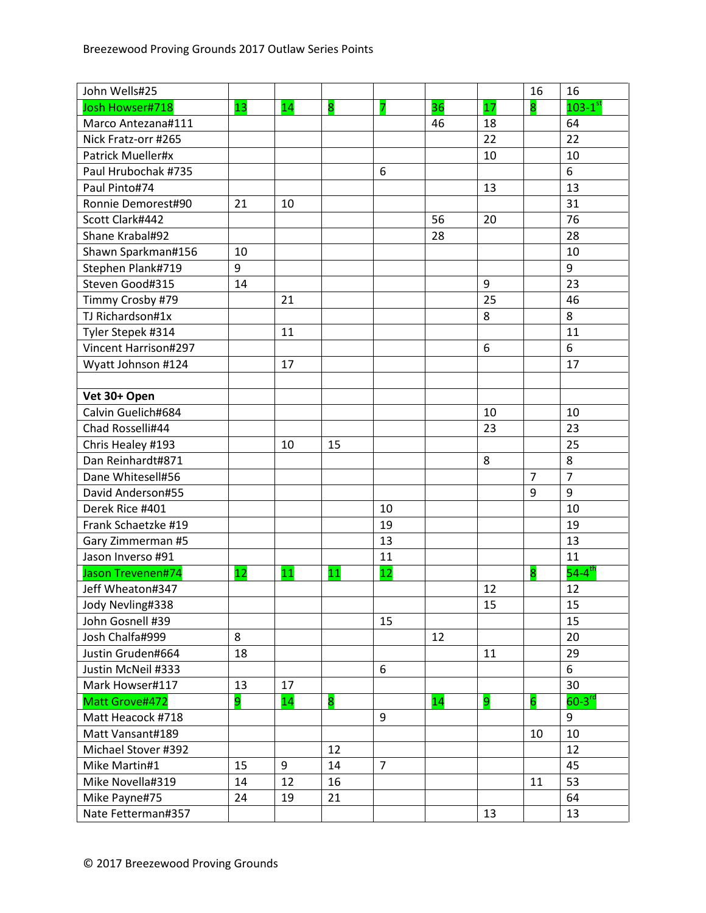| John Wells#25               |    |    |                         |                |    |                  | 16             | 16                     |
|-----------------------------|----|----|-------------------------|----------------|----|------------------|----------------|------------------------|
| Josh Howser#718             | 13 | 14 | $\overline{\mathbf{8}}$ | 7              | 36 | 17               | 8              | $103-1$ <sup>st</sup>  |
| Marco Antezana#111          |    |    |                         |                | 46 | 18               |                | 64                     |
| Nick Fratz-orr #265         |    |    |                         |                |    | 22               |                | 22                     |
| Patrick Mueller#x           |    |    |                         |                |    | 10               |                | 10                     |
| Paul Hrubochak #735         |    |    |                         | 6              |    |                  |                | 6                      |
| Paul Pinto#74               |    |    |                         |                |    | 13               |                | 13                     |
| Ronnie Demorest#90          | 21 | 10 |                         |                |    |                  |                | 31                     |
| Scott Clark#442             |    |    |                         |                | 56 | 20               |                | 76                     |
| Shane Krabal#92             |    |    |                         |                | 28 |                  |                | 28                     |
| Shawn Sparkman#156          | 10 |    |                         |                |    |                  |                | 10                     |
| Stephen Plank#719           | 9  |    |                         |                |    |                  |                | 9                      |
| Steven Good#315             | 14 |    |                         |                |    | $\boldsymbol{9}$ |                | 23                     |
| Timmy Crosby #79            |    | 21 |                         |                |    | 25               |                | 46                     |
| TJ Richardson#1x            |    |    |                         |                |    | 8                |                | 8                      |
| Tyler Stepek #314           |    | 11 |                         |                |    |                  |                | 11                     |
| <b>Vincent Harrison#297</b> |    |    |                         |                |    | 6                |                | 6                      |
| Wyatt Johnson #124          |    | 17 |                         |                |    |                  |                | 17                     |
|                             |    |    |                         |                |    |                  |                |                        |
| Vet 30+ Open                |    |    |                         |                |    |                  |                |                        |
| Calvin Guelich#684          |    |    |                         |                |    | 10               |                | 10                     |
| Chad Rosselli#44            |    |    |                         |                |    | 23               |                | 23                     |
| Chris Healey #193           |    | 10 | 15                      |                |    |                  |                | 25                     |
| Dan Reinhardt#871           |    |    |                         |                |    | 8                |                | 8                      |
| Dane Whitesell#56           |    |    |                         |                |    |                  | $\overline{7}$ | $\overline{7}$         |
| David Anderson#55           |    |    |                         |                |    |                  | 9              | 9                      |
| Derek Rice #401             |    |    |                         | 10             |    |                  |                | 10                     |
| Frank Schaetzke #19         |    |    |                         | 19             |    |                  |                | 19                     |
| Gary Zimmerman #5           |    |    |                         | 13             |    |                  |                | 13                     |
| Jason Inverso #91           |    |    |                         | 11             |    |                  |                | 11                     |
| Jason Trevenen#74           | 12 | 11 | 11                      | 12             |    |                  | 8              | $54 - 4$ <sup>th</sup> |
| Jeff Wheaton#347            |    |    |                         |                |    | 12               |                | 12                     |
| Jody Nevling#338            |    |    |                         |                |    | 15               |                | 15                     |
| John Gosnell #39            |    |    |                         | 15             |    |                  |                | 15                     |
| Josh Chalfa#999             | 8  |    |                         |                | 12 |                  |                | 20                     |
| Justin Gruden#664           | 18 |    |                         |                |    | 11               |                | 29                     |
| Justin McNeil #333          |    |    |                         | 6              |    |                  |                | 6                      |
| Mark Howser#117             | 13 | 17 |                         |                |    |                  |                | 30                     |
| Matt Grove#472              | 9  | 14 | 8                       |                | 14 | 9                | $\overline{6}$ | $60-3$ <sup>rd</sup>   |
| Matt Heacock #718           |    |    |                         | 9              |    |                  |                | 9                      |
| Matt Vansant#189            |    |    |                         |                |    |                  | 10             | 10                     |
| Michael Stover #392         |    |    | 12                      |                |    |                  |                | 12                     |
| Mike Martin#1               | 15 | 9  | 14                      | $\overline{7}$ |    |                  |                | 45                     |
| Mike Novella#319            | 14 | 12 | 16                      |                |    |                  | 11             | 53                     |
| Mike Payne#75               | 24 | 19 | 21                      |                |    |                  |                | 64                     |
| Nate Fetterman#357          |    |    |                         |                |    | 13               |                | 13                     |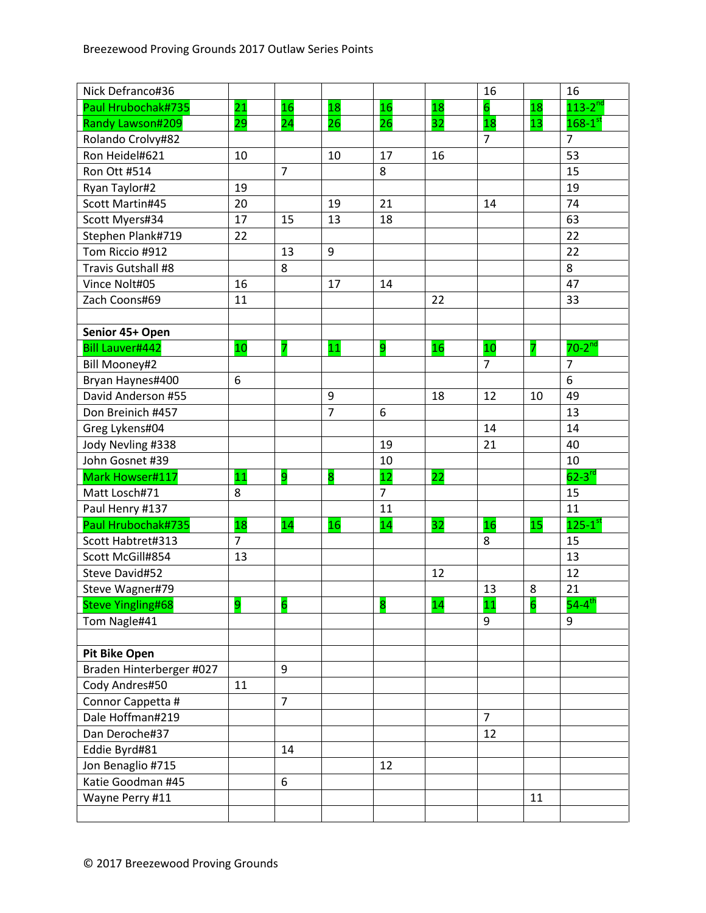| Nick Defranco#36         |                |                         |                         |                |    | 16             |                         | 16                      |
|--------------------------|----------------|-------------------------|-------------------------|----------------|----|----------------|-------------------------|-------------------------|
| Paul Hrubochak#735       | 21             | <b>16</b>               | 18                      | 16             | 18 | $\overline{6}$ | 18                      | $113 - 2^{nd}$          |
| Randy Lawson#209         | 29             | 24                      | 26                      | 26             | 32 | 18             | 13                      | $168-1$ st              |
| Rolando Crolvy#82        |                |                         |                         |                |    | $\overline{7}$ |                         | $\overline{7}$          |
| Ron Heidel#621           | 10             |                         | 10                      | 17             | 16 |                |                         | 53                      |
| Ron Ott #514             |                | $\overline{7}$          |                         | 8              |    |                |                         | 15                      |
| Ryan Taylor#2            | 19             |                         |                         |                |    |                |                         | 19                      |
| Scott Martin#45          | 20             |                         | 19                      | 21             |    | 14             |                         | 74                      |
| Scott Myers#34           | 17             | 15                      | 13                      | 18             |    |                |                         | 63                      |
| Stephen Plank#719        | 22             |                         |                         |                |    |                |                         | 22                      |
| Tom Riccio #912          |                | 13                      | 9                       |                |    |                |                         | 22                      |
| Travis Gutshall #8       |                | 8                       |                         |                |    |                |                         | 8                       |
| Vince Nolt#05            | 16             |                         | 17                      | 14             |    |                |                         | 47                      |
| Zach Coons#69            | 11             |                         |                         |                | 22 |                |                         | 33                      |
|                          |                |                         |                         |                |    |                |                         |                         |
| Senior 45+ Open          |                |                         |                         |                |    |                |                         |                         |
| <b>Bill Lauver#442</b>   | 10             | 7                       | 11                      | 9              | 16 | 10             | 7                       | $70-2^{nd}$             |
| <b>Bill Mooney#2</b>     |                |                         |                         |                |    | $\overline{7}$ |                         | $\overline{7}$          |
| Bryan Haynes#400         | 6              |                         |                         |                |    |                |                         | 6                       |
| David Anderson #55       |                |                         | 9                       |                | 18 | 12             | 10                      | 49                      |
| Don Breinich #457        |                |                         | $\overline{7}$          | 6              |    |                |                         | 13                      |
| Greg Lykens#04           |                |                         |                         |                |    | 14             |                         | 14                      |
| Jody Nevling #338        |                |                         |                         | 19             |    | 21             |                         | 40                      |
| John Gosnet #39          |                |                         |                         | 10             |    |                |                         | 10                      |
| Mark Howser#117          | 11             | 9                       | $\overline{\mathbf{8}}$ | 12             | 22 |                |                         | $62-3$ <sup>rd</sup>    |
| Matt Losch#71            | 8              |                         |                         | $\overline{7}$ |    |                |                         | 15                      |
| Paul Henry #137          |                |                         |                         | 11             |    |                |                         | 11                      |
| Paul Hrubochak#735       | 18             | 14                      | 16                      | 14             | 32 | 16             | 15                      | $125 - 1$ <sup>st</sup> |
| Scott Habtret#313        | $\overline{7}$ |                         |                         |                |    | 8              |                         | 15                      |
| Scott McGill#854         | 13             |                         |                         |                |    |                |                         | 13                      |
| Steve David#52           |                |                         |                         |                | 12 |                |                         | 12                      |
| Steve Wagner#79          |                |                         |                         |                |    | 13             | 8                       | 21                      |
| <b>Steve Yingling#68</b> | 9              | $\overline{\mathbf{6}}$ |                         | 8              | 14 | 11             | $\overline{\mathbf{6}}$ | $54 - 4$ <sup>th</sup>  |
| Tom Nagle#41             |                |                         |                         |                |    | 9              |                         | 9                       |
|                          |                |                         |                         |                |    |                |                         |                         |
| <b>Pit Bike Open</b>     |                |                         |                         |                |    |                |                         |                         |
| Braden Hinterberger #027 |                | 9                       |                         |                |    |                |                         |                         |
| Cody Andres#50           | 11             |                         |                         |                |    |                |                         |                         |
| Connor Cappetta #        |                | $\overline{7}$          |                         |                |    |                |                         |                         |
| Dale Hoffman#219         |                |                         |                         |                |    | $\overline{7}$ |                         |                         |
| Dan Deroche#37           |                |                         |                         |                |    | 12             |                         |                         |
| Eddie Byrd#81            |                | 14                      |                         |                |    |                |                         |                         |
| Jon Benaglio #715        |                |                         |                         | 12             |    |                |                         |                         |
| Katie Goodman #45        |                | 6                       |                         |                |    |                |                         |                         |
| Wayne Perry #11          |                |                         |                         |                |    |                | 11                      |                         |
|                          |                |                         |                         |                |    |                |                         |                         |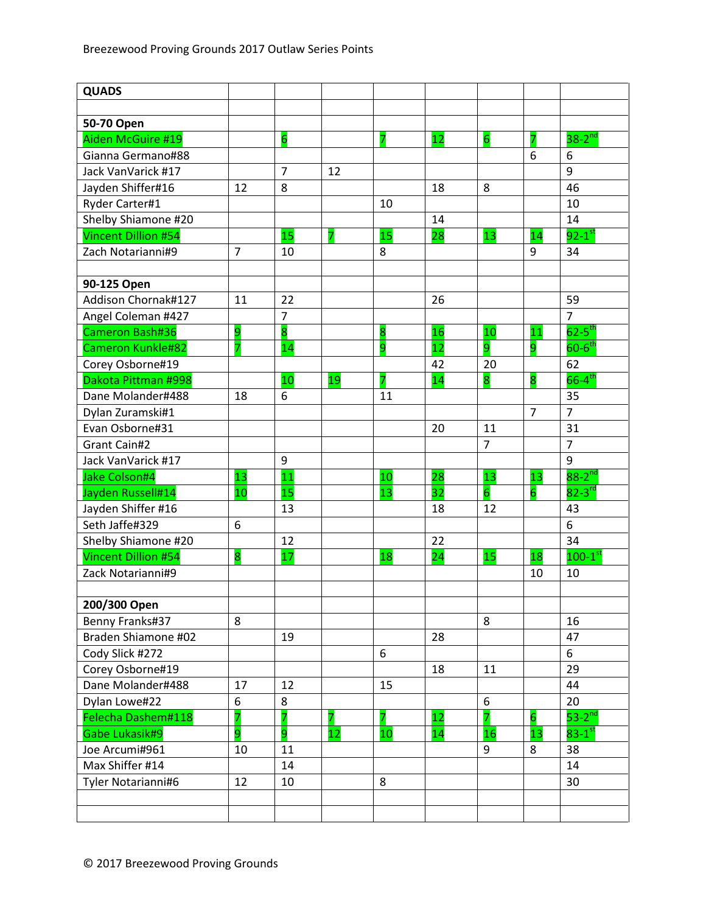| <b>QUADS</b>               |                |                |                |                         |    |                 |                |                        |
|----------------------------|----------------|----------------|----------------|-------------------------|----|-----------------|----------------|------------------------|
|                            |                |                |                |                         |    |                 |                |                        |
| 50-70 Open                 |                |                |                |                         |    |                 |                |                        |
| Aiden McGuire #19          |                | 6              |                | 7                       | 12 | $6\overline{6}$ |                | $38-2^{nd}$            |
| Gianna Germano#88          |                |                |                |                         |    |                 | 6              | 6                      |
| Jack VanVarick #17         |                | $\overline{7}$ | 12             |                         |    |                 |                | 9                      |
| Jayden Shiffer#16          | 12             | 8              |                |                         | 18 | 8               |                | 46                     |
| Ryder Carter#1             |                |                |                | 10                      |    |                 |                | 10                     |
| Shelby Shiamone #20        |                |                |                |                         | 14 |                 |                | 14                     |
| <b>Vincent Dillion #54</b> |                | 15             | $\overline{7}$ | 15                      | 28 | 13              | 14             | $92-1$ <sup>st</sup>   |
| Zach Notarianni#9          | $\overline{7}$ | 10             |                | 8                       |    |                 | 9              | 34                     |
|                            |                |                |                |                         |    |                 |                |                        |
| 90-125 Open                |                |                |                |                         |    |                 |                |                        |
| Addison Chornak#127        | 11             | 22             |                |                         | 26 |                 |                | 59                     |
| Angel Coleman #427         |                | $\overline{7}$ |                |                         |    |                 |                | $\overline{7}$         |
| Cameron Bash#36            | 9              | 8              |                | $\overline{\mathbf{8}}$ | 16 | 10              | 11             | $62 - 5$ <sup>th</sup> |
| <b>Cameron Kunkle#82</b>   |                | 14             |                | 9                       | 12 | 9               | 9              | $60-6$ <sup>th</sup>   |
| Corey Osborne#19           |                |                |                |                         | 42 | 20              |                | 62                     |
| Dakota Pittman #998        |                | 10             | 19             | 7                       | 14 | 8               | 8              | $66 - 4$ <sup>th</sup> |
| Dane Molander#488          | 18             | 6              |                | 11                      |    |                 |                | 35                     |
| Dylan Zuramski#1           |                |                |                |                         |    |                 | $\overline{7}$ | $\overline{7}$         |
| Evan Osborne#31            |                |                |                |                         | 20 | 11              |                | 31                     |
| Grant Cain#2               |                |                |                |                         |    | $\overline{7}$  |                | $\overline{7}$         |
| Jack VanVarick #17         |                | 9              |                |                         |    |                 |                | 9                      |
| Jake Colson#4              | 13             | 11             |                | 10                      | 28 | 13              | 13             | $88 - 2$ <sup>nd</sup> |
| Jayden Russell#14          | 10             | 15             |                | 13                      | 32 | $\overline{6}$  | 6              | $82 - 3$ <sup>rd</sup> |
| Jayden Shiffer #16         |                | 13             |                |                         | 18 | 12              |                | 43                     |
| Seth Jaffe#329             | 6              |                |                |                         |    |                 |                | 6                      |
| Shelby Shiamone #20        |                | 12             |                |                         | 22 |                 |                | 34                     |
| <b>Vincent Dillion #54</b> | 8              | 17             |                | 18                      | 24 | 15              | 18             | $100-1$ <sup>st</sup>  |
| Zack Notarianni#9          |                |                |                |                         |    |                 | 10             | 10                     |
|                            |                |                |                |                         |    |                 |                |                        |
| 200/300 Open               |                |                |                |                         |    |                 |                |                        |
| Benny Franks#37            | 8              |                |                |                         |    | 8               |                | 16                     |
| Braden Shiamone #02        |                | 19             |                |                         | 28 |                 |                | 47                     |
| Cody Slick #272            |                |                |                | 6                       |    |                 |                | 6                      |
| Corey Osborne#19           |                |                |                |                         | 18 | 11              |                | 29                     |
| Dane Molander#488          | 17             | 12             |                | 15                      |    |                 |                | 44                     |
| Dylan Lowe#22              | 6              | 8              |                |                         |    | 6               |                | 20                     |
| Felecha Dashem#118         | 7              | 7              | 7              | 7                       | 12 | 7               | 6              | $53-2^{nd}$            |
| Gabe Lukasik#9             | 9              | 9              | 12             | 10                      | 14 | 16              | 13             | $83-1$ <sup>st</sup>   |
| Joe Arcumi#961             | 10             | 11             |                |                         |    | 9               | 8              | 38                     |
| Max Shiffer #14            |                | 14             |                |                         |    |                 |                | 14                     |
| Tyler Notarianni#6         | 12             | 10             |                | 8                       |    |                 |                | 30                     |
|                            |                |                |                |                         |    |                 |                |                        |
|                            |                |                |                |                         |    |                 |                |                        |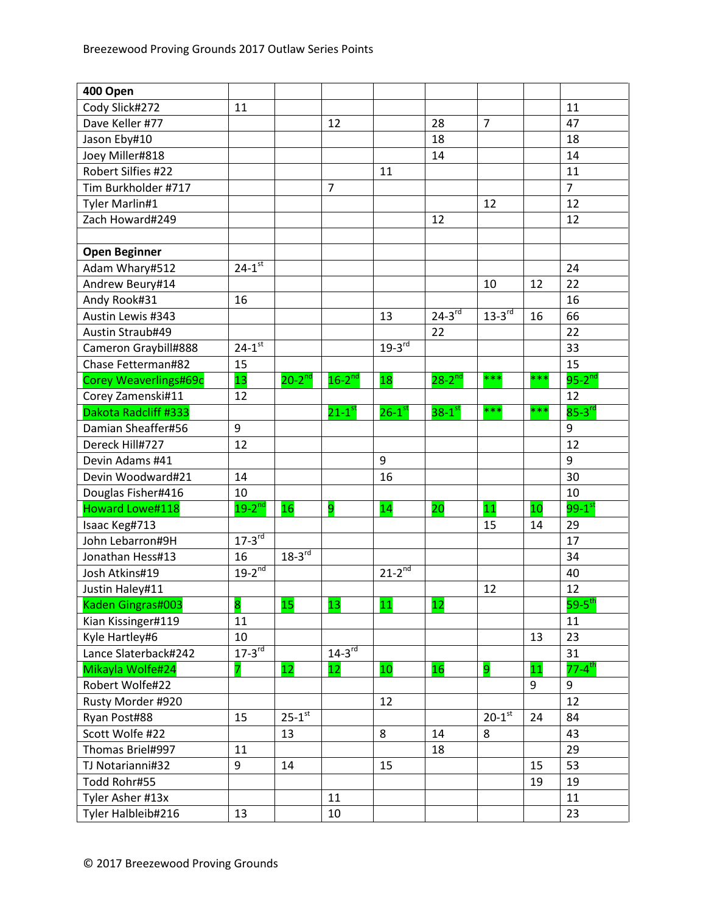| 400 Open               |                      |               |                      |                      |             |                |     |                        |
|------------------------|----------------------|---------------|----------------------|----------------------|-------------|----------------|-----|------------------------|
| Cody Slick#272         | 11                   |               |                      |                      |             |                |     | 11                     |
| Dave Keller #77        |                      |               | 12                   |                      | 28          | $\overline{7}$ |     | 47                     |
| Jason Eby#10           |                      |               |                      |                      | 18          |                |     | 18                     |
| Joey Miller#818        |                      |               |                      |                      | 14          |                |     | 14                     |
| Robert Silfies #22     |                      |               |                      | 11                   |             |                |     | 11                     |
| Tim Burkholder #717    |                      |               | $\overline{7}$       |                      |             |                |     | $\overline{7}$         |
| Tyler Marlin#1         |                      |               |                      |                      |             | 12             |     | 12                     |
| Zach Howard#249        |                      |               |                      |                      | 12          |                |     | 12                     |
|                        |                      |               |                      |                      |             |                |     |                        |
| <b>Open Beginner</b>   |                      |               |                      |                      |             |                |     |                        |
| Adam Whary#512         | $24 - 1^{st}$        |               |                      |                      |             |                |     | 24                     |
| Andrew Beury#14        |                      |               |                      |                      |             | 10             | 12  | 22                     |
| Andy Rook#31           | 16                   |               |                      |                      |             |                |     | 16                     |
| Austin Lewis #343      |                      |               |                      | 13                   | $24-3^{rd}$ | $13-3^{rd}$    | 16  | 66                     |
| Austin Straub#49       |                      |               |                      |                      | 22          |                |     | 22                     |
| Cameron Graybill#888   | $24-1$ <sup>st</sup> |               |                      | $19-3^{rd}$          |             |                |     | 33                     |
| Chase Fetterman#82     | 15                   |               |                      |                      |             |                |     | 15                     |
| Corey Weaverlings#69c  | 13                   | $20 - 2^{nd}$ | $16-2^{nd}$          | 18                   | $28-2^{nd}$ | ***            | *** | $95-2^{nd}$            |
| Corey Zamenski#11      | 12                   |               |                      |                      |             |                |     | 12                     |
| Dakota Radcliff #333   |                      |               | $21-1$ <sup>st</sup> | $26-1$ <sup>st</sup> | $38-1$ st   | ***            | *** | $85-3$ <sup>rd</sup>   |
| Damian Sheaffer#56     | 9                    |               |                      |                      |             |                |     | $\boldsymbol{9}$       |
| Dereck Hill#727        | 12                   |               |                      |                      |             |                |     | 12                     |
| Devin Adams #41        |                      |               |                      | 9                    |             |                |     | 9                      |
| Devin Woodward#21      | 14                   |               |                      | 16                   |             |                |     | 30                     |
| Douglas Fisher#416     | 10                   |               |                      |                      |             |                |     | 10                     |
| <b>Howard Lowe#118</b> | $19-2$ <sup>nd</sup> | 16            | 9                    | 14                   | 20          | 11             | 10  | $99-1$ <sup>st</sup>   |
| Isaac Keg#713          |                      |               |                      |                      |             | 15             | 14  | 29                     |
| John Lebarron#9H       | $17-3^{rd}$          |               |                      |                      |             |                |     | 17                     |
| Jonathan Hess#13       | 16                   | $18-3^{rd}$   |                      |                      |             |                |     | 34                     |
| Josh Atkins#19         | $19-2^{nd}$          |               |                      | $21-2^{nd}$          |             |                |     | 40                     |
| Justin Haley#11        |                      |               |                      |                      |             | 12             |     | 12                     |
| Kaden Gingras#003      | 8                    | 15            | 13                   | 11                   | 12          |                |     | $59-5$ <sup>th</sup>   |
| Kian Kissinger#119     | 11                   |               |                      |                      |             |                |     | 11                     |
| Kyle Hartley#6         | 10                   |               |                      |                      |             |                | 13  | 23                     |
| Lance Slaterback#242   | $17-3^{rd}$          |               | $14-3^{rd}$          |                      |             |                |     | 31                     |
| Mikayla Wolfe#24       | 7                    | 12            | 12                   | 10                   | 16          | 9              | 11  | $77 - 4$ <sup>th</sup> |
| Robert Wolfe#22        |                      |               |                      |                      |             |                | 9   | 9                      |
| Rusty Morder #920      |                      |               |                      | 12                   |             |                |     | 12                     |
| Ryan Post#88           | 15                   | $25 - 1^{st}$ |                      |                      |             | $20 - 1^{st}$  | 24  | 84                     |
| Scott Wolfe #22        |                      | 13            |                      | 8                    | 14          | 8              |     | 43                     |
| Thomas Briel#997       | 11                   |               |                      |                      | 18          |                |     | 29                     |
| TJ Notarianni#32       | 9                    | 14            |                      | 15                   |             |                | 15  | 53                     |
| Todd Rohr#55           |                      |               |                      |                      |             |                | 19  | 19                     |
| Tyler Asher #13x       |                      |               | 11                   |                      |             |                |     | 11                     |
| Tyler Halbleib#216     | 13                   |               | 10                   |                      |             |                |     | 23                     |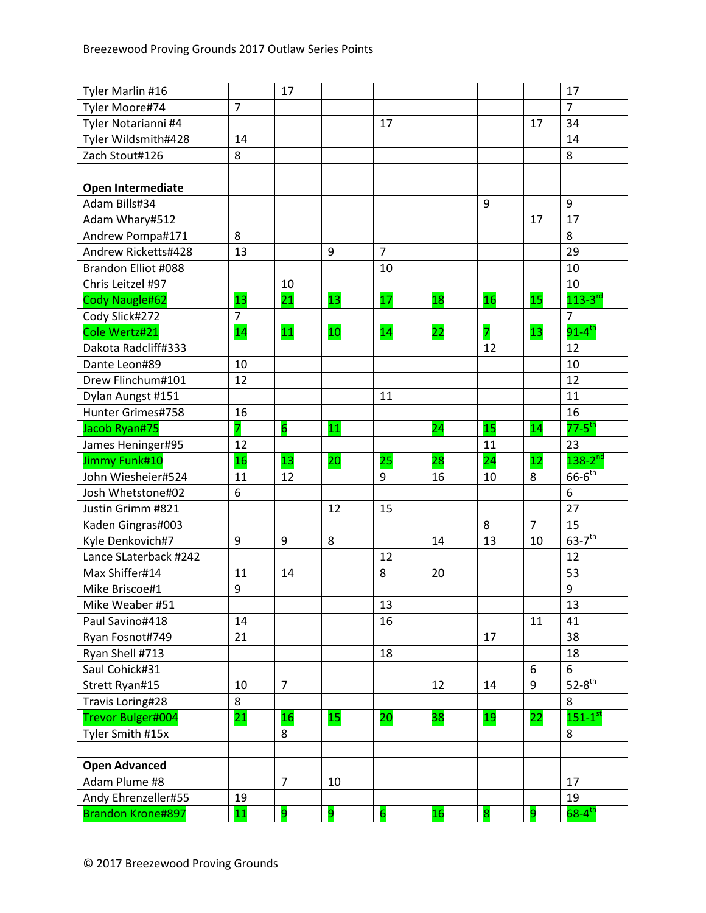| Tyler Marlin #16         |                | 17              |                 |                |    |                  |                | 17                      |
|--------------------------|----------------|-----------------|-----------------|----------------|----|------------------|----------------|-------------------------|
| Tyler Moore#74           | $\overline{7}$ |                 |                 |                |    |                  |                | $\overline{7}$          |
| Tyler Notarianni #4      |                |                 |                 | 17             |    |                  | 17             | 34                      |
| Tyler Wildsmith#428      | 14             |                 |                 |                |    |                  |                | 14                      |
| Zach Stout#126           | 8              |                 |                 |                |    |                  |                | 8                       |
|                          |                |                 |                 |                |    |                  |                |                         |
| <b>Open Intermediate</b> |                |                 |                 |                |    |                  |                |                         |
| Adam Bills#34            |                |                 |                 |                |    | $\boldsymbol{9}$ |                | 9                       |
| Adam Whary#512           |                |                 |                 |                |    |                  | 17             | 17                      |
| Andrew Pompa#171         | 8              |                 |                 |                |    |                  |                | 8                       |
| Andrew Ricketts#428      | 13             |                 | 9               | $\overline{7}$ |    |                  |                | 29                      |
| Brandon Elliot #088      |                |                 |                 | 10             |    |                  |                | 10                      |
| Chris Leitzel #97        |                | 10              |                 |                |    |                  |                | 10                      |
| Cody Naugle#62           | 13             | $\overline{21}$ | 13              | 17             | 18 | 16               | 15             | $113 - 3$ <sup>rd</sup> |
| Cody Slick#272           | $\overline{7}$ |                 |                 |                |    |                  |                | $\overline{7}$          |
| Cole Wertz#21            | 14             | 11              | 10              | 14             | 22 | 7                | 13             | $91 - 4$ <sup>th</sup>  |
| Dakota Radcliff#333      |                |                 |                 |                |    | 12               |                | 12                      |
| Dante Leon#89            | 10             |                 |                 |                |    |                  |                | 10                      |
| Drew Flinchum#101        | 12             |                 |                 |                |    |                  |                | 12                      |
| Dylan Aungst #151        |                |                 |                 | 11             |    |                  |                | 11                      |
| Hunter Grimes#758        | 16             |                 |                 |                |    |                  |                | 16                      |
| Jacob Ryan#75            | 7              | $\overline{6}$  | 11              |                | 24 | 15               | 14             | $77 - 5$ <sup>th</sup>  |
| James Heninger#95        | 12             |                 |                 |                |    | 11               |                | 23                      |
| Jimmy Funk#10            | 16             | 13              | 20              | 25             | 28 | 24               | 12             | $138-2^{nd}$            |
| John Wiesheier#524       | 11             | 12              |                 | 9              | 16 | 10               | 8              | $66-6^{th}$             |
| Josh Whetstone#02        | 6              |                 |                 |                |    |                  |                | 6                       |
| Justin Grimm #821        |                |                 | 12              | 15             |    |                  |                | 27                      |
| Kaden Gingras#003        |                |                 |                 |                |    | 8                | $\overline{7}$ | 15                      |
| Kyle Denkovich#7         | 9              | 9               | 8               |                | 14 | 13               | 10             | $63 - 7$ <sup>th</sup>  |
| Lance SLaterback #242    |                |                 |                 | 12             |    |                  |                | 12                      |
| Max Shiffer#14           | 11             | 14              |                 | 8              | 20 |                  |                | 53                      |
| Mike Briscoe#1           | 9              |                 |                 |                |    |                  |                | 9                       |
| Mike Weaber #51          |                |                 |                 | 13             |    |                  |                | 13                      |
| Paul Savino#418          | 14             |                 |                 | 16             |    |                  | 11             | 41                      |
| Ryan Fosnot#749          | 21             |                 |                 |                |    | 17               |                | 38                      |
| Ryan Shell #713          |                |                 |                 |                |    |                  |                | 18                      |
|                          |                |                 |                 | 18             |    |                  |                |                         |
| Saul Cohick#31           |                |                 |                 |                |    |                  | 6              | 6                       |
| Strett Ryan#15           | 10             | $\overline{7}$  |                 |                | 12 | 14               | 9              | $52-8$ <sup>th</sup>    |
| Travis Loring#28         | 8              |                 |                 |                |    |                  |                | 8                       |
| Trevor Bulger#004        | 21             | 16              | 15 <sub>1</sub> | 20             | 38 | 19               | 22             | $151-1$ <sup>st</sup>   |
| Tyler Smith #15x         |                | 8               |                 |                |    |                  |                | 8                       |
|                          |                |                 |                 |                |    |                  |                |                         |
| <b>Open Advanced</b>     |                |                 |                 |                |    |                  |                |                         |
| Adam Plume #8            |                | $\overline{7}$  | 10              |                |    |                  |                | 17                      |
| Andy Ehrenzeller#55      | 19             |                 |                 |                |    |                  |                | 19                      |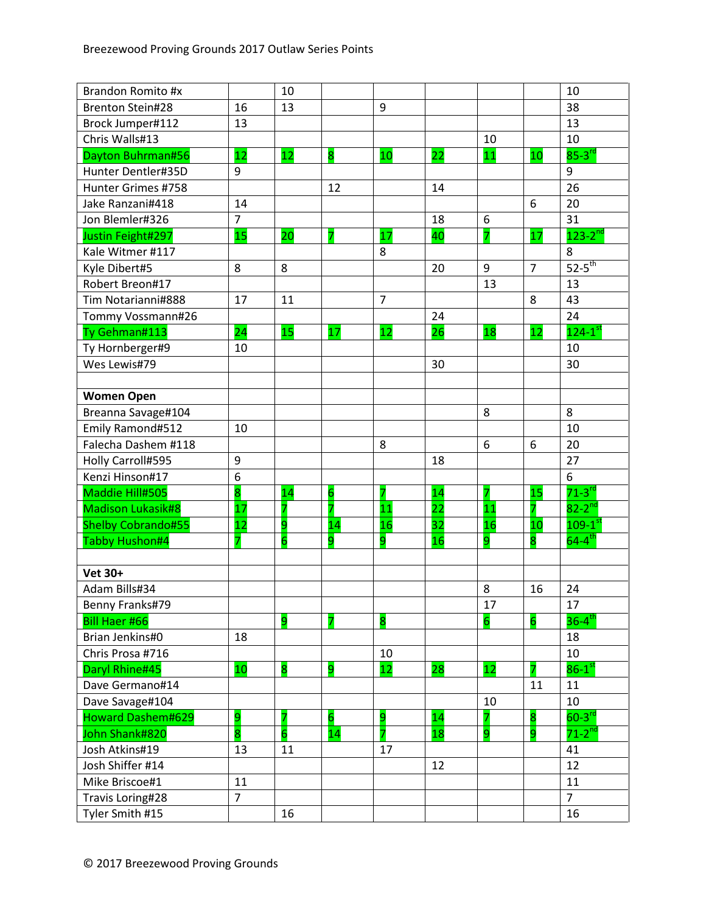| Brandon Romito #x         |                         | 10 |                 |                |                 |                |                         | 10                      |
|---------------------------|-------------------------|----|-----------------|----------------|-----------------|----------------|-------------------------|-------------------------|
| <b>Brenton Stein#28</b>   | 16                      | 13 |                 | 9              |                 |                |                         | 38                      |
| Brock Jumper#112          | 13                      |    |                 |                |                 |                |                         | 13                      |
| Chris Walls#13            |                         |    |                 |                |                 | 10             |                         | 10                      |
| Dayton Buhrman#56         | 12                      | 12 | 8               | 10             | 22              | 11             | 10                      | $85-3$ <sup>rd</sup>    |
| Hunter Dentler#35D        | 9                       |    |                 |                |                 |                |                         | 9                       |
| Hunter Grimes #758        |                         |    | 12              |                | 14              |                |                         | 26                      |
| Jake Ranzani#418          | 14                      |    |                 |                |                 |                | 6                       | 20                      |
| Jon Blemler#326           | $\overline{7}$          |    |                 |                | 18              | 6              |                         | 31                      |
| Justin Feight#297         | 15                      | 20 | 7               | 17             | 40              | 7              | 17                      | $123 - 2^{nd}$          |
| Kale Witmer #117          |                         |    |                 | 8              |                 |                |                         | 8                       |
| Kyle Dibert#5             | 8                       | 8  |                 |                | 20              | $9\,$          | $\overline{7}$          | $52-5$ <sup>th</sup>    |
| Robert Breon#17           |                         |    |                 |                |                 | 13             |                         | 13                      |
| Tim Notarianni#888        | 17                      | 11 |                 | $\overline{7}$ |                 |                | 8                       | 43                      |
| Tommy Vossmann#26         |                         |    |                 |                | 24              |                |                         | 24                      |
| Ty Gehman#113             | 24                      | 15 | 17              | 12             | 26              | 18             | 12                      | $124-1$ <sup>st</sup>   |
| Ty Hornberger#9           | 10                      |    |                 |                |                 |                |                         | 10                      |
| Wes Lewis#79              |                         |    |                 |                | 30              |                |                         | 30                      |
|                           |                         |    |                 |                |                 |                |                         |                         |
| <b>Women Open</b>         |                         |    |                 |                |                 |                |                         |                         |
| Breanna Savage#104        |                         |    |                 |                |                 | 8              |                         | 8                       |
| Emily Ramond#512          | 10                      |    |                 |                |                 |                |                         | 10                      |
| Falecha Dashem #118       |                         |    |                 | 8              |                 | 6              | 6                       | 20                      |
| Holly Carroll#595         | 9                       |    |                 |                | 18              |                |                         | 27                      |
| Kenzi Hinson#17           | 6                       |    |                 |                |                 |                |                         | 6                       |
| Maddie Hill#505           | $\overline{\mathbf{8}}$ | 14 | $6\overline{6}$ | 7              | 14              | 7              | 15                      | $71-3$ <sup>rd</sup>    |
| <b>Madison Lukasik#8</b>  | 17                      | 7  | 7               | 11             | $\overline{22}$ | 11             | 7                       | $82 - 2$ <sup>nd</sup>  |
| <b>Shelby Cobrando#55</b> | 12                      | 9  | 14              | 16             | 32              | 16             | 10                      | $109 - 1$ <sup>st</sup> |
| Tabby Hushon#4            |                         | 6  | 9               | 9              | 16              | 9              | 8                       | $64 - 4$ <sup>th</sup>  |
|                           |                         |    |                 |                |                 |                |                         |                         |
| Vet 30+                   |                         |    |                 |                |                 |                |                         |                         |
| Adam Bills#34             |                         |    |                 |                |                 | 8              | 16                      | 24                      |
| Benny Franks#79           |                         |    |                 |                |                 | 17             |                         | 17                      |
| <b>Bill Haer #66</b>      |                         | 9  | $\overline{7}$  | 8              |                 | $\overline{6}$ | $6\overline{6}$         | $36 - 4$ <sup>th</sup>  |
| Brian Jenkins#0           | 18                      |    |                 |                |                 |                |                         | 18                      |
| Chris Prosa #716          |                         |    |                 | 10             |                 |                |                         | 10                      |
| Daryl Rhine#45            | 10                      | 8  | 9               | 12             | 28              | 12             | 7                       | $86-1$ st               |
| Dave Germano#14           |                         |    |                 |                |                 |                | 11                      | 11                      |
| Dave Savage#104           |                         |    |                 |                |                 | 10             |                         | 10                      |
| <b>Howard Dashem#629</b>  | 9                       | 7  | $\overline{6}$  | 9              | 14              | 7              | $\overline{\mathbf{8}}$ | $60-3$ <sup>rd</sup>    |
| John Shank#820            | 8                       | 6  | 14              | 7              | 18              | 9              | 9                       | $71 - 2$ <sup>nd</sup>  |
| Josh Atkins#19            | 13                      | 11 |                 | 17             |                 |                |                         | 41                      |
| Josh Shiffer #14          |                         |    |                 |                | 12              |                |                         | 12                      |
| Mike Briscoe#1            | 11                      |    |                 |                |                 |                |                         | 11                      |
| Travis Loring#28          | $\overline{7}$          |    |                 |                |                 |                |                         | $\overline{7}$          |
| Tyler Smith #15           |                         | 16 |                 |                |                 |                |                         | 16                      |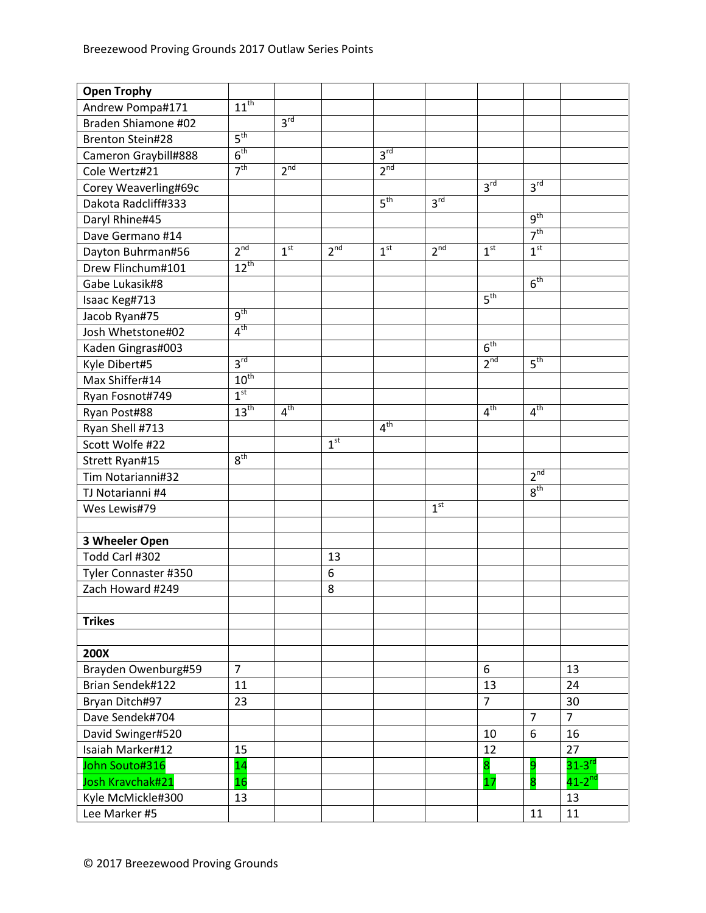| <b>Open Trophy</b>      |                  |                 |                 |                 |                 |                 |                 |                      |
|-------------------------|------------------|-----------------|-----------------|-----------------|-----------------|-----------------|-----------------|----------------------|
| Andrew Pompa#171        | $11^{\text{th}}$ |                 |                 |                 |                 |                 |                 |                      |
| Braden Shiamone #02     |                  | 3 <sup>rd</sup> |                 |                 |                 |                 |                 |                      |
| <b>Brenton Stein#28</b> | $5^{\text{th}}$  |                 |                 |                 |                 |                 |                 |                      |
| Cameron Graybill#888    | 6 <sup>th</sup>  |                 |                 | 3 <sup>rd</sup> |                 |                 |                 |                      |
| Cole Wertz#21           | 7 <sup>th</sup>  | 2 <sup>nd</sup> |                 | 2 <sup>nd</sup> |                 |                 |                 |                      |
| Corey Weaverling#69c    |                  |                 |                 |                 |                 | 3 <sup>rd</sup> | 3 <sup>rd</sup> |                      |
| Dakota Radcliff#333     |                  |                 |                 | 5 <sup>th</sup> | 3 <sup>rd</sup> |                 |                 |                      |
| Daryl Rhine#45          |                  |                 |                 |                 |                 |                 | 9 <sup>th</sup> |                      |
| Dave Germano #14        |                  |                 |                 |                 |                 |                 | 7 <sup>th</sup> |                      |
| Dayton Buhrman#56       | 2 <sup>nd</sup>  | 1 <sup>st</sup> | 2 <sup>nd</sup> | 1 <sup>st</sup> | 2 <sup>nd</sup> | 1 <sup>st</sup> | 1 <sup>st</sup> |                      |
| Drew Flinchum#101       | $12^{th}$        |                 |                 |                 |                 |                 |                 |                      |
| Gabe Lukasik#8          |                  |                 |                 |                 |                 |                 | 6 <sup>th</sup> |                      |
| Isaac Keg#713           |                  |                 |                 |                 |                 | 5 <sup>th</sup> |                 |                      |
| Jacob Ryan#75           | 9 <sup>th</sup>  |                 |                 |                 |                 |                 |                 |                      |
| Josh Whetstone#02       | 4 <sup>th</sup>  |                 |                 |                 |                 |                 |                 |                      |
| Kaden Gingras#003       |                  |                 |                 |                 |                 | 6 <sup>th</sup> |                 |                      |
| Kyle Dibert#5           | 3 <sup>rd</sup>  |                 |                 |                 |                 | 2 <sup>nd</sup> | 5 <sup>th</sup> |                      |
| Max Shiffer#14          | 10 <sup>th</sup> |                 |                 |                 |                 |                 |                 |                      |
| Ryan Fosnot#749         | 1 <sup>st</sup>  |                 |                 |                 |                 |                 |                 |                      |
| Ryan Post#88            | 13 <sup>th</sup> | 4 <sup>th</sup> |                 |                 |                 | 4 <sup>th</sup> | 4 <sup>th</sup> |                      |
| Ryan Shell #713         |                  |                 |                 | 4 <sup>th</sup> |                 |                 |                 |                      |
| Scott Wolfe #22         |                  |                 | 1 <sup>st</sup> |                 |                 |                 |                 |                      |
| Strett Ryan#15          | 8 <sup>th</sup>  |                 |                 |                 |                 |                 |                 |                      |
| Tim Notarianni#32       |                  |                 |                 |                 |                 |                 | 2 <sup>nd</sup> |                      |
| TJ Notarianni #4        |                  |                 |                 |                 |                 |                 | 8 <sup>th</sup> |                      |
| Wes Lewis#79            |                  |                 |                 |                 | 1 <sup>st</sup> |                 |                 |                      |
|                         |                  |                 |                 |                 |                 |                 |                 |                      |
| 3 Wheeler Open          |                  |                 |                 |                 |                 |                 |                 |                      |
| Todd Carl #302          |                  |                 | 13              |                 |                 |                 |                 |                      |
| Tyler Connaster #350    |                  |                 | 6               |                 |                 |                 |                 |                      |
| Zach Howard #249        |                  |                 | 8               |                 |                 |                 |                 |                      |
|                         |                  |                 |                 |                 |                 |                 |                 |                      |
| <b>Trikes</b>           |                  |                 |                 |                 |                 |                 |                 |                      |
|                         |                  |                 |                 |                 |                 |                 |                 |                      |
| 200X                    |                  |                 |                 |                 |                 |                 |                 |                      |
| Brayden Owenburg#59     | $\overline{7}$   |                 |                 |                 |                 | 6               |                 | 13                   |
| Brian Sendek#122        | 11               |                 |                 |                 |                 | 13              |                 | 24                   |
| Bryan Ditch#97          | 23               |                 |                 |                 |                 | $\overline{7}$  |                 | 30                   |
| Dave Sendek#704         |                  |                 |                 |                 |                 |                 | $\overline{7}$  | $\overline{7}$       |
| David Swinger#520       |                  |                 |                 |                 |                 | 10              | 6               | 16                   |
| Isaiah Marker#12        | 15               |                 |                 |                 |                 | 12              |                 | 27                   |
| John Souto#316          | 14               |                 |                 |                 |                 | 8               | 9               | $31-3$ <sup>rd</sup> |
| Josh Kravchak#21        | 16               |                 |                 |                 |                 | 17              | 8               | $41-2$ <sup>nd</sup> |
| Kyle McMickle#300       | 13               |                 |                 |                 |                 |                 |                 | 13                   |
| Lee Marker #5           |                  |                 |                 |                 |                 |                 | 11              | 11                   |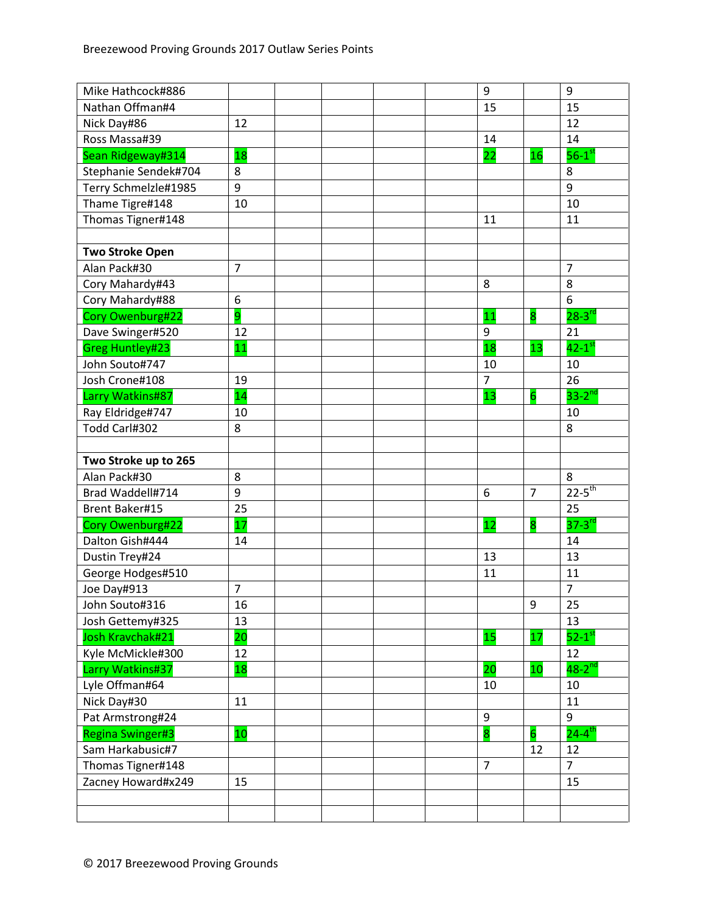| Mike Hathcock#886       |                |  | 9              |                         | 9                      |
|-------------------------|----------------|--|----------------|-------------------------|------------------------|
| Nathan Offman#4         |                |  | 15             |                         | 15                     |
| Nick Day#86             | 12             |  |                |                         | 12                     |
| Ross Massa#39           |                |  | 14             |                         | 14                     |
| Sean Ridgeway#314       | 18             |  | 22             | 16                      | $56-1$ <sup>st</sup>   |
| Stephanie Sendek#704    | 8              |  |                |                         | 8                      |
| Terry Schmelzle#1985    | 9              |  |                |                         | 9                      |
| Thame Tigre#148         | 10             |  |                |                         | 10                     |
| Thomas Tigner#148       |                |  | 11             |                         | 11                     |
|                         |                |  |                |                         |                        |
| <b>Two Stroke Open</b>  |                |  |                |                         |                        |
| Alan Pack#30            | $\overline{7}$ |  |                |                         | $\overline{7}$         |
| Cory Mahardy#43         |                |  | 8              |                         | 8                      |
| Cory Mahardy#88         | 6              |  |                |                         | 6                      |
| Cory Owenburg#22        | 9              |  | 11             | $\overline{\mathbf{8}}$ | $28 - 3$ <sup>rd</sup> |
| Dave Swinger#520        | 12             |  | 9              |                         | 21                     |
| Greg Huntley#23         | 11             |  | 18             | 13                      | $42-1$ <sup>st</sup>   |
| John Souto#747          |                |  | 10             |                         | 10                     |
| Josh Crone#108          | 19             |  | $\overline{7}$ |                         | 26                     |
| Larry Watkins#87        | 14             |  | 13             | $\overline{6}$          | $33-2$ <sup>nd</sup>   |
| Ray Eldridge#747        | 10             |  |                |                         | 10                     |
| Todd Carl#302           | 8              |  |                |                         | 8                      |
|                         |                |  |                |                         |                        |
| Two Stroke up to 265    |                |  |                |                         |                        |
| Alan Pack#30            | 8              |  |                |                         | 8                      |
| Brad Waddell#714        | 9              |  | 6              | $\overline{7}$          | $22 - 5$ <sup>th</sup> |
| <b>Brent Baker#15</b>   | 25             |  |                |                         | 25                     |
| Cory Owenburg#22        | 17             |  | 12             | 8                       | $37-3$ <sup>rd</sup>   |
| Dalton Gish#444         | 14             |  |                |                         | 14                     |
| Dustin Trey#24          |                |  | 13             |                         | 13                     |
| George Hodges#510       |                |  | 11             |                         | 11                     |
| Joe Day#913             | $\overline{7}$ |  |                |                         | $\overline{7}$         |
| John Souto#316          | 16             |  |                | 9                       | 25                     |
| Josh Gettemy#325        | 13             |  |                |                         | 13                     |
| Josh Kravchak#21        | 20             |  | 15             | 17                      | $52-1$ <sup>st</sup>   |
| Kyle McMickle#300       | 12             |  |                |                         | 12                     |
| Larry Watkins#37        | 18             |  | 20             | 10                      | $48-2$ <sup>nd</sup>   |
| Lyle Offman#64          |                |  | 10             |                         | 10                     |
| Nick Day#30             | 11             |  |                |                         | 11                     |
| Pat Armstrong#24        |                |  | 9              |                         | 9                      |
| <b>Regina Swinger#3</b> | 10             |  | 8              | 6                       | $24 - 4$ <sup>th</sup> |
| Sam Harkabusic#7        |                |  |                | 12                      | 12                     |
| Thomas Tigner#148       |                |  | $\overline{7}$ |                         | $\overline{7}$         |
| Zacney Howard#x249      | 15             |  |                |                         | 15                     |
|                         |                |  |                |                         |                        |
|                         |                |  |                |                         |                        |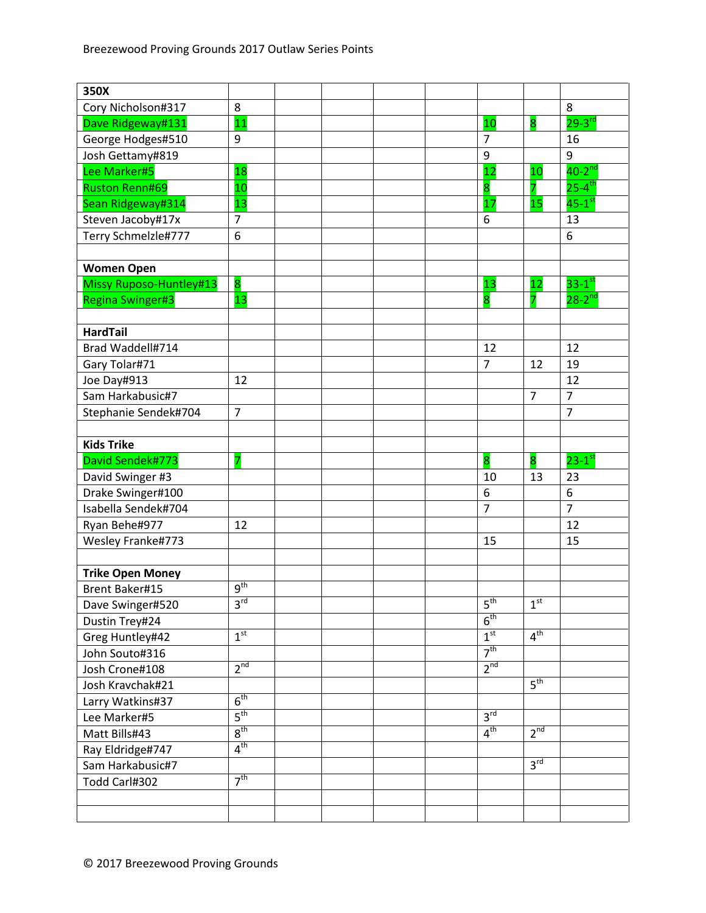| 350X                    |                 |  |  |                         |                         |                        |
|-------------------------|-----------------|--|--|-------------------------|-------------------------|------------------------|
| Cory Nicholson#317      | 8               |  |  |                         |                         | 8                      |
| Dave Ridgeway#131       | 11              |  |  | 10                      | $\overline{\mathbf{8}}$ | $29 - 3$ <sup>rd</sup> |
| George Hodges#510       | 9               |  |  | 7                       |                         | 16                     |
| Josh Gettamy#819        |                 |  |  | 9                       |                         | 9                      |
| Lee Marker#5            | 18              |  |  | 12                      | 10                      | $40-2^{nd}$            |
| <b>Ruston Renn#69</b>   | 10              |  |  | 8                       |                         | $25 - 4$ <sup>th</sup> |
| Sean Ridgeway#314       | 13              |  |  | 17                      | 15                      | $45-1$ <sup>st</sup>   |
| Steven Jacoby#17x       | $\overline{7}$  |  |  | 6                       |                         | 13                     |
| Terry Schmelzle#777     | 6               |  |  |                         |                         | 6                      |
|                         |                 |  |  |                         |                         |                        |
| <b>Women Open</b>       |                 |  |  |                         |                         |                        |
| Missy Ruposo-Huntley#13 | 8               |  |  | 13                      | 12                      | $33-1$ <sup>st</sup>   |
| <b>Regina Swinger#3</b> | 13              |  |  | $\overline{\mathbf{8}}$ |                         | $28 - 2$ <sup>nd</sup> |
|                         |                 |  |  |                         |                         |                        |
| <b>HardTail</b>         |                 |  |  |                         |                         |                        |
| Brad Waddell#714        |                 |  |  | 12                      |                         | 12                     |
| Gary Tolar#71           |                 |  |  | $\overline{7}$          | 12                      | 19                     |
| Joe Day#913             | 12              |  |  |                         |                         | 12                     |
| Sam Harkabusic#7        |                 |  |  |                         | $\overline{7}$          | $\overline{7}$         |
| Stephanie Sendek#704    | $\overline{7}$  |  |  |                         |                         | $\overline{7}$         |
|                         |                 |  |  |                         |                         |                        |
| <b>Kids Trike</b>       |                 |  |  |                         |                         |                        |
| David Sendek#773        | 7               |  |  | $\overline{\mathbf{8}}$ | 8                       | $23-1$ <sup>st</sup>   |
| David Swinger #3        |                 |  |  | 10                      | 13                      | 23                     |
| Drake Swinger#100       |                 |  |  | 6                       |                         | 6                      |
| Isabella Sendek#704     |                 |  |  | $\overline{7}$          |                         | $\overline{7}$         |
| Ryan Behe#977           | 12              |  |  |                         |                         | 12                     |
| Wesley Franke#773       |                 |  |  | 15                      |                         | 15                     |
|                         |                 |  |  |                         |                         |                        |
| <b>Trike Open Money</b> |                 |  |  |                         |                         |                        |
| <b>Brent Baker#15</b>   | 9 <sup>th</sup> |  |  |                         |                         |                        |
| Dave Swinger#520        | 3 <sup>rd</sup> |  |  | $5^{\text{th}}$         | 1 <sup>st</sup>         |                        |
| Dustin Trey#24          |                 |  |  | 6 <sup>th</sup>         |                         |                        |
| Greg Huntley#42         | 1 <sup>st</sup> |  |  | 1 <sup>st</sup>         | 4 <sup>th</sup>         |                        |
| John Souto#316          |                 |  |  | 7 <sup>th</sup>         |                         |                        |
| Josh Crone#108          | 2 <sup>nd</sup> |  |  | 2 <sup>nd</sup>         |                         |                        |
| Josh Kravchak#21        |                 |  |  |                         | 5 <sup>th</sup>         |                        |
| Larry Watkins#37        | 6 <sup>th</sup> |  |  |                         |                         |                        |
| Lee Marker#5            | $5^{\text{th}}$ |  |  | $3^{\overline{rd}}$     |                         |                        |
| Matt Bills#43           | 8 <sup>th</sup> |  |  | $4^{\text{th}}$         | 2 <sup>nd</sup>         |                        |
| Ray Eldridge#747        | $4^{\text{th}}$ |  |  |                         |                         |                        |
| Sam Harkabusic#7        |                 |  |  |                         | $3^{\text{rd}}$         |                        |
| Todd Carl#302           | 7 <sup>th</sup> |  |  |                         |                         |                        |
|                         |                 |  |  |                         |                         |                        |
|                         |                 |  |  |                         |                         |                        |
|                         |                 |  |  |                         |                         |                        |